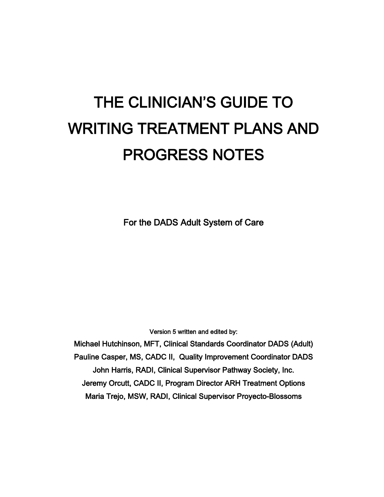# THE CLINICIAN'S GUIDE TO WRITING TREATMENT PLANS AND PROGRESS NOTES

For the DADS Adult System of Care

Version 5 written and edited by:

Michael Hutchinson, MFT, Clinical Standards Coordinator DADS (Adult) Pauline Casper, MS, CADC II, Quality Improvement Coordinator DADS John Harris, RADI, Clinical Supervisor Pathway Society, Inc. Jeremy Orcutt, CADC II, Program Director ARH Treatment Options Maria Trejo, MSW, RADI, Clinical Supervisor Proyecto-Blossoms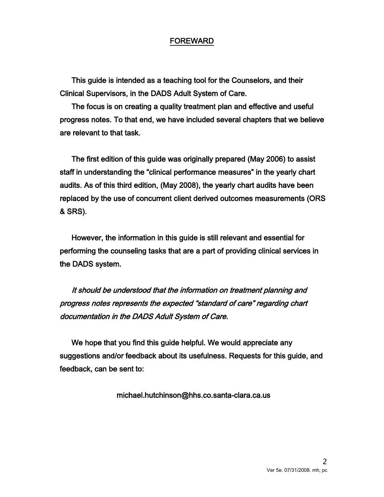#### FOREWARD

This guide is intended as a teaching tool for the Counselors, and their Clinical Supervisors, in the DADS Adult System of Care.

The focus is on creating a quality treatment plan and effective and useful progress notes. To that end, we have included several chapters that we believe are relevant to that task.

The first edition of this guide was originally prepared (May 2006) to assist staff in understanding the "clinical performance measures" in the yearly chart audits. As of this third edition, (May 2008), the yearly chart audits have been replaced by the use of concurrent client derived outcomes measurements (ORS & SRS).

However, the information in this guide is still relevant and essential for performing the counseling tasks that are a part of providing clinical services in the DADS system.

It should be understood that the information on treatment planning and progress notes represents the expected "standard of care" regarding chart documentation in the DADS Adult System of Care.

We hope that you find this guide helpful. We would appreciate any suggestions and/or feedback about its usefulness. Requests for this guide, and feedback, can be sent to:

michael.hutchinson@hhs.co.santa-clara.ca.us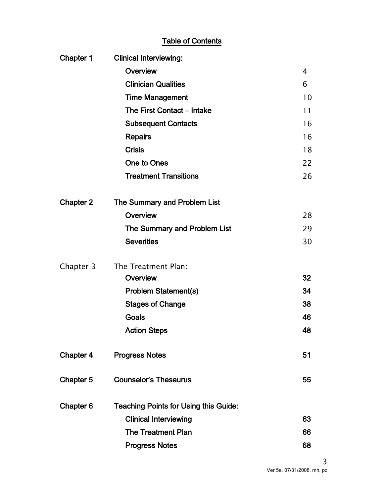## Table of Contents

| Chapter 1        | <b>Clinical Interviewing:</b>                |    |
|------------------|----------------------------------------------|----|
|                  | Overview                                     | 4  |
|                  | <b>Clinician Qualities</b>                   | 6  |
|                  | <b>Time Management</b>                       | 10 |
|                  | The First Contact - Intake                   | 11 |
|                  | <b>Subsequent Contacts</b>                   | 16 |
|                  | <b>Repairs</b>                               | 16 |
|                  | <b>Crisis</b>                                | 18 |
|                  | <b>One to Ones</b>                           | 22 |
|                  | <b>Treatment Transitions</b>                 | 26 |
| <b>Chapter 2</b> | The Summary and Problem List                 |    |
|                  | Overview                                     | 28 |
|                  | The Summary and Problem List                 | 29 |
|                  | <b>Severities</b>                            | 30 |
| Chapter 3        | The Treatment Plan:                          |    |
|                  | Overview                                     | 32 |
|                  | <b>Problem Statement(s)</b>                  | 34 |
|                  | <b>Stages of Change</b>                      | 38 |
|                  | Goals                                        | 46 |
|                  | <b>Action Steps</b>                          | 48 |
| Chapter 4        | <b>Progress Notes</b>                        | 51 |
| Chapter 5        | <b>Counselor's Thesaurus</b>                 | 55 |
| Chapter 6        | <b>Teaching Points for Using this Guide:</b> |    |
|                  | <b>Clinical Interviewing</b>                 | 63 |
|                  | <b>The Treatment Plan</b>                    | 66 |
|                  | <b>Progress Notes</b>                        | 68 |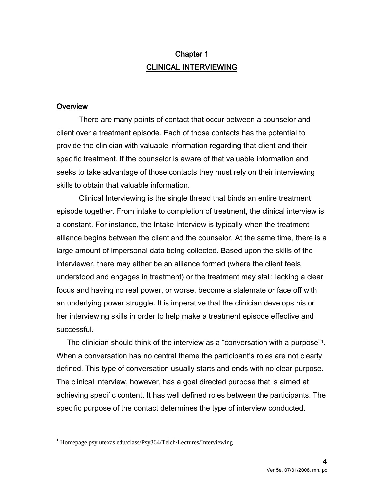# Chapter 1 CLINICAL INTERVIEWING

#### **Overview**

There are many points of contact that occur between a counselor and client over a treatment episode. Each of those contacts has the potential to provide the clinician with valuable information regarding that client and their specific treatment. If the counselor is aware of that valuable information and seeks to take advantage of those contacts they must rely on their interviewing skills to obtain that valuable information.

Clinical Interviewing is the single thread that binds an entire treatment episode together. From intake to completion of treatment, the clinical interview is a constant. For instance, the Intake Interview is typically when the treatment alliance begins between the client and the counselor. At the same time, there is a large amount of impersonal data being collected. Based upon the skills of the interviewer, there may either be an alliance formed (where the client feels understood and engages in treatment) or the treatment may stall; lacking a clear focus and having no real power, or worse, become a stalemate or face off with an underlying power struggle. It is imperative that the clinician develops his or her interviewing skills in order to help make a treatment episode effective and successful.

 The clinician should think of the interview as a "conversation with a purpose"[1](#page-3-0) . When a conversation has no central theme the participant's roles are not clearly defined. This type of conversation usually starts and ends with no clear purpose. The clinical interview, however, has a goal directed purpose that is aimed at achieving specific content. It has well defined roles between the participants. The specific purpose of the contact determines the type of interview conducted.

<span id="page-3-0"></span> $\overline{\phantom{a}}$ <sup>1</sup> Homepage.psy.utexas.edu/class/Psy364/Telch/Lectures/Interviewing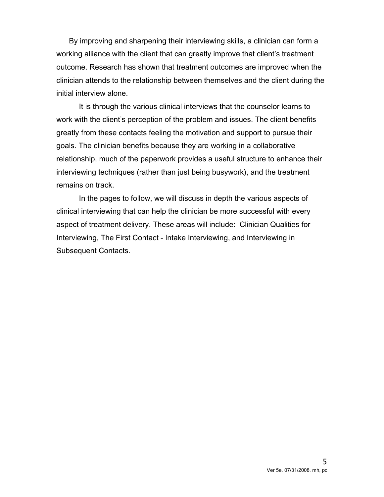By improving and sharpening their interviewing skills, a clinician can form a working alliance with the client that can greatly improve that client's treatment outcome. Research has shown that treatment outcomes are improved when the clinician attends to the relationship between themselves and the client during the initial interview alone.

It is through the various clinical interviews that the counselor learns to work with the client's perception of the problem and issues. The client benefits greatly from these contacts feeling the motivation and support to pursue their goals. The clinician benefits because they are working in a collaborative relationship, much of the paperwork provides a useful structure to enhance their interviewing techniques (rather than just being busywork), and the treatment remains on track.

In the pages to follow, we will discuss in depth the various aspects of clinical interviewing that can help the clinician be more successful with every aspect of treatment delivery. These areas will include: Clinician Qualities for Interviewing, The First Contact - Intake Interviewing, and Interviewing in Subsequent Contacts.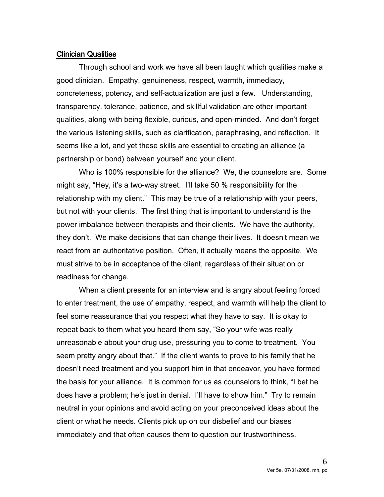#### Clinician Qualities

Through school and work we have all been taught which qualities make a good clinician. Empathy, genuineness, respect, warmth, immediacy, concreteness, potency, and self-actualization are just a few. Understanding, transparency, tolerance, patience, and skillful validation are other important qualities, along with being flexible, curious, and open-minded. And don't forget the various listening skills, such as clarification, paraphrasing, and reflection. It seems like a lot, and yet these skills are essential to creating an alliance (a partnership or bond) between yourself and your client.

Who is 100% responsible for the alliance? We, the counselors are. Some might say, "Hey, it's a two-way street. I'll take 50 % responsibility for the relationship with my client." This may be true of a relationship with your peers, but not with your clients. The first thing that is important to understand is the power imbalance between therapists and their clients. We have the authority, they don't. We make decisions that can change their lives. It doesn't mean we react from an authoritative position. Often, it actually means the opposite. We must strive to be in acceptance of the client, regardless of their situation or readiness for change.

When a client presents for an interview and is angry about feeling forced to enter treatment, the use of empathy, respect, and warmth will help the client to feel some reassurance that you respect what they have to say. It is okay to repeat back to them what you heard them say, "So your wife was really unreasonable about your drug use, pressuring you to come to treatment. You seem pretty angry about that." If the client wants to prove to his family that he doesn't need treatment and you support him in that endeavor, you have formed the basis for your alliance. It is common for us as counselors to think, "I bet he does have a problem; he's just in denial. I'll have to show him." Try to remain neutral in your opinions and avoid acting on your preconceived ideas about the client or what he needs. Clients pick up on our disbelief and our biases immediately and that often causes them to question our trustworthiness.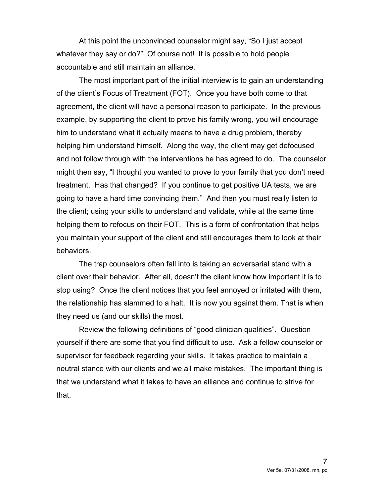At this point the unconvinced counselor might say, "So I just accept whatever they say or do?" Of course not! It is possible to hold people accountable and still maintain an alliance.

The most important part of the initial interview is to gain an understanding of the client's Focus of Treatment (FOT). Once you have both come to that agreement, the client will have a personal reason to participate. In the previous example, by supporting the client to prove his family wrong, you will encourage him to understand what it actually means to have a drug problem, thereby helping him understand himself. Along the way, the client may get defocused and not follow through with the interventions he has agreed to do. The counselor might then say, "I thought you wanted to prove to your family that you don't need treatment. Has that changed? If you continue to get positive UA tests, we are going to have a hard time convincing them." And then you must really listen to the client; using your skills to understand and validate, while at the same time helping them to refocus on their FOT. This is a form of confrontation that helps you maintain your support of the client and still encourages them to look at their behaviors.

The trap counselors often fall into is taking an adversarial stand with a client over their behavior. After all, doesn't the client know how important it is to stop using? Once the client notices that you feel annoyed or irritated with them, the relationship has slammed to a halt. It is now you against them. That is when they need us (and our skills) the most.

Review the following definitions of "good clinician qualities". Question yourself if there are some that you find difficult to use. Ask a fellow counselor or supervisor for feedback regarding your skills. It takes practice to maintain a neutral stance with our clients and we all make mistakes. The important thing is that we understand what it takes to have an alliance and continue to strive for that.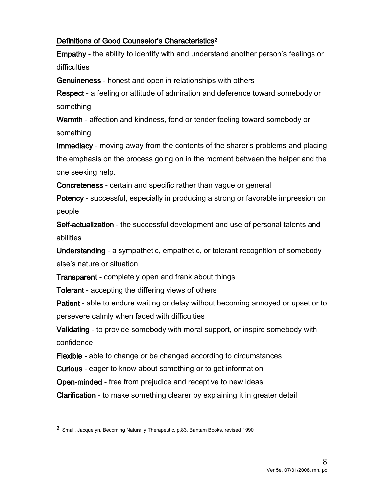## Definitions of Good Counselor's Characteristics[2](#page-7-0)

Empathy - the ability to identify with and understand another person's feelings or difficulties

Genuineness - honest and open in relationships with others

Respect - a feeling or attitude of admiration and deference toward somebody or something

Warmth - affection and kindness, fond or tender feeling toward somebody or something

Immediacy - moving away from the contents of the sharer's problems and placing the emphasis on the process going on in the moment between the helper and the one seeking help.

Concreteness - certain and specific rather than vague or general

Potency - successful, especially in producing a strong or favorable impression on people

Self-actualization - the successful development and use of personal talents and abilities

Understanding - a sympathetic, empathetic, or tolerant recognition of somebody else's nature or situation

Transparent - completely open and frank about things

Tolerant - accepting the differing views of others

Patient - able to endure waiting or delay without becoming annoyed or upset or to persevere calmly when faced with difficulties

Validating - to provide somebody with moral support, or inspire somebody with confidence

Flexible - able to change or be changed according to circumstances

Curious - eager to know about something or to get information

Open-minded - free from prejudice and receptive to new ideas

Clarification - to make something clearer by explaining it in greater detail

 $\overline{a}$ 

<span id="page-7-0"></span><sup>2</sup> Small, Jacquelyn, Becoming Naturally Therapeutic, p.83, Bantam Books, revised 1990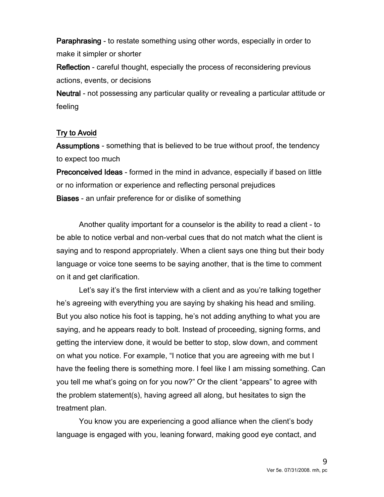Paraphrasing - to restate something using other words, especially in order to make it simpler or shorter

Reflection - careful thought, especially the process of reconsidering previous actions, events, or decisions

Neutral - not possessing any particular quality or revealing a particular attitude or feeling

#### Try to Avoid

Assumptions - something that is believed to be true without proof, the tendency to expect too much

Preconceived Ideas - formed in the mind in advance, especially if based on little or no information or experience and reflecting personal prejudices Biases - an unfair preference for or dislike of something

Another quality important for a counselor is the ability to read a client - to be able to notice verbal and non-verbal cues that do not match what the client is saying and to respond appropriately. When a client says one thing but their body language or voice tone seems to be saying another, that is the time to comment on it and get clarification.

Let's say it's the first interview with a client and as you're talking together he's agreeing with everything you are saying by shaking his head and smiling. But you also notice his foot is tapping, he's not adding anything to what you are saying, and he appears ready to bolt. Instead of proceeding, signing forms, and getting the interview done, it would be better to stop, slow down, and comment on what you notice. For example, "I notice that you are agreeing with me but I have the feeling there is something more. I feel like I am missing something. Can you tell me what's going on for you now?" Or the client "appears" to agree with the problem statement(s), having agreed all along, but hesitates to sign the treatment plan.

You know you are experiencing a good alliance when the client's body language is engaged with you, leaning forward, making good eye contact, and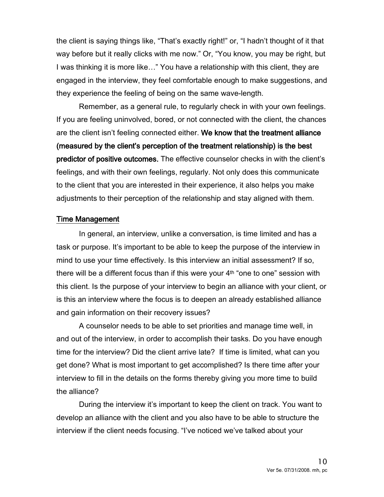the client is saying things like, "That's exactly right!" or, "I hadn't thought of it that way before but it really clicks with me now." Or, "You know, you may be right, but I was thinking it is more like…" You have a relationship with this client, they are engaged in the interview, they feel comfortable enough to make suggestions, and they experience the feeling of being on the same wave-length.

Remember, as a general rule, to regularly check in with your own feelings. If you are feeling uninvolved, bored, or not connected with the client, the chances are the client isn't feeling connected either. We know that the treatment alliance (measured by the client's perception of the treatment relationship) is the best predictor of positive outcomes. The effective counselor checks in with the client's feelings, and with their own feelings, regularly. Not only does this communicate to the client that you are interested in their experience, it also helps you make adjustments to their perception of the relationship and stay aligned with them.

#### Time Management

In general, an interview, unlike a conversation, is time limited and has a task or purpose. It's important to be able to keep the purpose of the interview in mind to use your time effectively. Is this interview an initial assessment? If so, there will be a different focus than if this were your 4<sup>th</sup> "one to one" session with this client. Is the purpose of your interview to begin an alliance with your client, or is this an interview where the focus is to deepen an already established alliance and gain information on their recovery issues?

A counselor needs to be able to set priorities and manage time well, in and out of the interview, in order to accomplish their tasks. Do you have enough time for the interview? Did the client arrive late? If time is limited, what can you get done? What is most important to get accomplished? Is there time after your interview to fill in the details on the forms thereby giving you more time to build the alliance?

During the interview it's important to keep the client on track. You want to develop an alliance with the client and you also have to be able to structure the interview if the client needs focusing. "I've noticed we've talked about your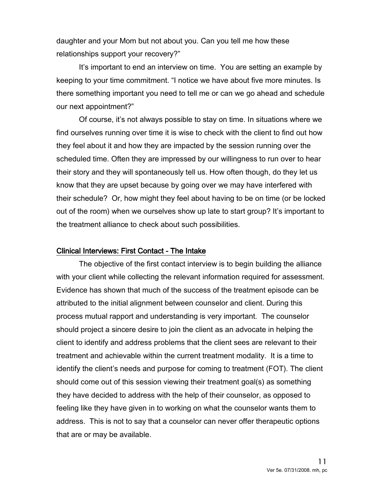daughter and your Mom but not about you. Can you tell me how these relationships support your recovery?"

It's important to end an interview on time. You are setting an example by keeping to your time commitment. "I notice we have about five more minutes. Is there something important you need to tell me or can we go ahead and schedule our next appointment?"

 Of course, it's not always possible to stay on time. In situations where we find ourselves running over time it is wise to check with the client to find out how they feel about it and how they are impacted by the session running over the scheduled time. Often they are impressed by our willingness to run over to hear their story and they will spontaneously tell us. How often though, do they let us know that they are upset because by going over we may have interfered with their schedule? Or, how might they feel about having to be on time (or be locked out of the room) when we ourselves show up late to start group? It's important to the treatment alliance to check about such possibilities.

#### Clinical Interviews: First Contact - The Intake

The objective of the first contact interview is to begin building the alliance with your client while collecting the relevant information required for assessment. Evidence has shown that much of the success of the treatment episode can be attributed to the initial alignment between counselor and client. During this process mutual rapport and understanding is very important. The counselor should project a sincere desire to join the client as an advocate in helping the client to identify and address problems that the client sees are relevant to their treatment and achievable within the current treatment modality. It is a time to identify the client's needs and purpose for coming to treatment (FOT). The client should come out of this session viewing their treatment goal(s) as something they have decided to address with the help of their counselor, as opposed to feeling like they have given in to working on what the counselor wants them to address. This is not to say that a counselor can never offer therapeutic options that are or may be available.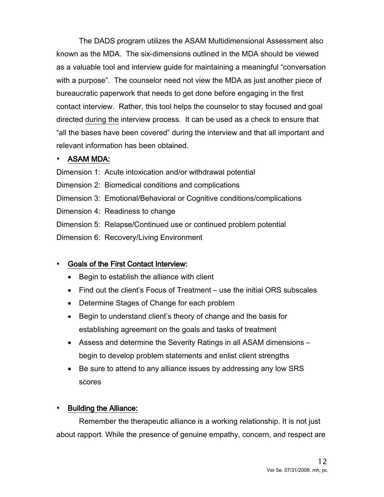The DADS program utilizes the ASAM Multidimensional Assessment also known as the MDA. The six-dimensions outlined in the MDA should be viewed as a valuable tool and interview guide for maintaining a meaningful "conversation with a purpose". The counselor need not view the MDA as just another piece of bureaucratic paperwork that needs to get done before engaging in the first contact interview. Rather, this tool helps the counselor to stay focused and goal directed during the interview process. It can be used as a check to ensure that "all the bases have been covered" during the interview and that all important and relevant information has been obtained.

## ASAM MDA:

Dimension 1: Acute intoxication and/or withdrawal potential

Dimension 2: Biomedical conditions and complications

Dimension 3: Emotional/Behavioral or Cognitive conditions/complications

Dimension 4: Readiness to change

Dimension 5: Relapse/Continued use or continued problem potential

Dimension 6: Recovery/Living Environment

## Goals of the First Contact Interview:

- Begin to establish the alliance with client
- Find out the client's Focus of Treatment use the initial ORS subscales
- Determine Stages of Change for each problem
- Begin to understand client's theory of change and the basis for establishing agreement on the goals and tasks of treatment
- Assess and determine the Severity Ratings in all ASAM dimensions begin to develop problem statements and enlist client strengths
- Be sure to attend to any alliance issues by addressing any low SRS scores

## **+** Building the Alliance:

Remember the therapeutic alliance is a working relationship. It is not just about rapport. While the presence of genuine empathy, concern, and respect are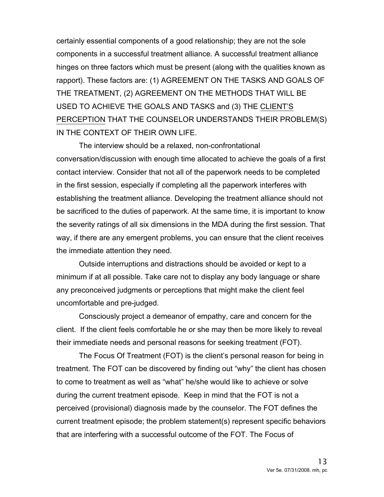certainly essential components of a good relationship; they are not the sole components in a successful treatment alliance. A successful treatment alliance hinges on three factors which must be present (along with the qualities known as rapport). These factors are: (1) AGREEMENT ON THE TASKS AND GOALS OF THE TREATMENT, (2) AGREEMENT ON THE METHODS THAT WILL BE USED TO ACHIEVE THE GOALS AND TASKS and (3) THE CLIENT'S PERCEPTION THAT THE COUNSELOR UNDERSTANDS THEIR PROBLEM(S) IN THE CONTEXT OF THEIR OWN LIFE.

The interview should be a relaxed, non-confrontational conversation/discussion with enough time allocated to achieve the goals of a first contact interview. Consider that not all of the paperwork needs to be completed in the first session, especially if completing all the paperwork interferes with establishing the treatment alliance. Developing the treatment alliance should not be sacrificed to the duties of paperwork. At the same time, it is important to know the severity ratings of all six dimensions in the MDA during the first session. That way, if there are any emergent problems, you can ensure that the client receives the immediate attention they need.

Outside interruptions and distractions should be avoided or kept to a minimum if at all possible. Take care not to display any body language or share any preconceived judgments or perceptions that might make the client feel uncomfortable and pre-judged.

Consciously project a demeanor of empathy, care and concern for the client. If the client feels comfortable he or she may then be more likely to reveal their immediate needs and personal reasons for seeking treatment (FOT).

The Focus Of Treatment (FOT) is the client's personal reason for being in treatment. The FOT can be discovered by finding out "why" the client has chosen to come to treatment as well as "what" he/she would like to achieve or solve during the current treatment episode. Keep in mind that the FOT is not a perceived (provisional) diagnosis made by the counselor. The FOT defines the current treatment episode; the problem statement(s) represent specific behaviors that are interfering with a successful outcome of the FOT. The Focus of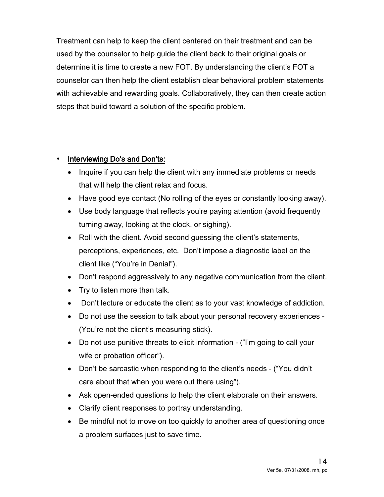Treatment can help to keep the client centered on their treatment and can be used by the counselor to help guide the client back to their original goals or determine it is time to create a new FOT. By understanding the client's FOT a counselor can then help the client establish clear behavioral problem statements with achievable and rewarding goals. Collaboratively, they can then create action steps that build toward a solution of the specific problem.

## Interviewing Do's and Don'ts:

- Inquire if you can help the client with any immediate problems or needs that will help the client relax and focus.
- Have good eye contact (No rolling of the eyes or constantly looking away).
- Use body language that reflects you're paying attention (avoid frequently turning away, looking at the clock, or sighing).
- Roll with the client. Avoid second guessing the client's statements, perceptions, experiences, etc. Don't impose a diagnostic label on the client like ("You're in Denial").
- Don't respond aggressively to any negative communication from the client.
- Try to listen more than talk.
- Don't lecture or educate the client as to your vast knowledge of addiction.
- Do not use the session to talk about your personal recovery experiences (You're not the client's measuring stick).
- Do not use punitive threats to elicit information ("I'm going to call your wife or probation officer").
- Don't be sarcastic when responding to the client's needs ("You didn't care about that when you were out there using").
- Ask open-ended questions to help the client elaborate on their answers.
- Clarify client responses to portray understanding.
- Be mindful not to move on too quickly to another area of questioning once a problem surfaces just to save time.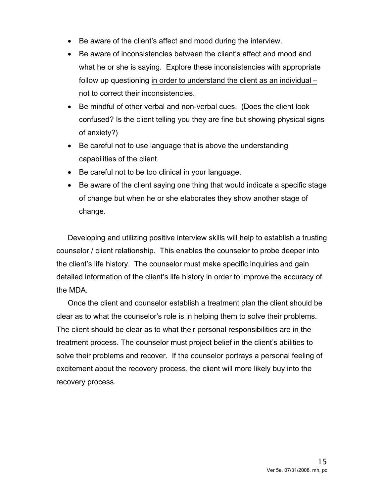- Be aware of the client's affect and mood during the interview.
- Be aware of inconsistencies between the client's affect and mood and what he or she is saying. Explore these inconsistencies with appropriate follow up questioning in order to understand the client as an individual – not to correct their inconsistencies.
- Be mindful of other verbal and non-verbal cues. (Does the client look confused? Is the client telling you they are fine but showing physical signs of anxiety?)
- Be careful not to use language that is above the understanding capabilities of the client.
- Be careful not to be too clinical in your language.
- Be aware of the client saying one thing that would indicate a specific stage of change but when he or she elaborates they show another stage of change.

Developing and utilizing positive interview skills will help to establish a trusting counselor / client relationship. This enables the counselor to probe deeper into the client's life history. The counselor must make specific inquiries and gain detailed information of the client's life history in order to improve the accuracy of the MDA.

Once the client and counselor establish a treatment plan the client should be clear as to what the counselor's role is in helping them to solve their problems. The client should be clear as to what their personal responsibilities are in the treatment process. The counselor must project belief in the client's abilities to solve their problems and recover. If the counselor portrays a personal feeling of excitement about the recovery process, the client will more likely buy into the recovery process.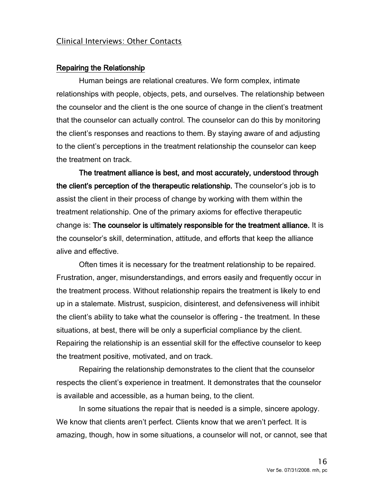#### Clinical Interviews: Other Contacts

#### Repairing the Relationship

Human beings are relational creatures. We form complex, intimate relationships with people, objects, pets, and ourselves. The relationship between the counselor and the client is the one source of change in the client's treatment that the counselor can actually control. The counselor can do this by monitoring the client's responses and reactions to them. By staying aware of and adjusting to the client's perceptions in the treatment relationship the counselor can keep the treatment on track.

The treatment alliance is best, and most accurately, understood through the client's perception of the therapeutic relationship. The counselor's job is to assist the client in their process of change by working with them within the treatment relationship. One of the primary axioms for effective therapeutic change is: The counselor is ultimately responsible for the treatment alliance. It is the counselor's skill, determination, attitude, and efforts that keep the alliance alive and effective.

Often times it is necessary for the treatment relationship to be repaired. Frustration, anger, misunderstandings, and errors easily and frequently occur in the treatment process. Without relationship repairs the treatment is likely to end up in a stalemate. Mistrust, suspicion, disinterest, and defensiveness will inhibit the client's ability to take what the counselor is offering - the treatment. In these situations, at best, there will be only a superficial compliance by the client. Repairing the relationship is an essential skill for the effective counselor to keep the treatment positive, motivated, and on track.

Repairing the relationship demonstrates to the client that the counselor respects the client's experience in treatment. It demonstrates that the counselor is available and accessible, as a human being, to the client.

In some situations the repair that is needed is a simple, sincere apology. We know that clients aren't perfect. Clients know that we aren't perfect. It is amazing, though, how in some situations, a counselor will not, or cannot, see that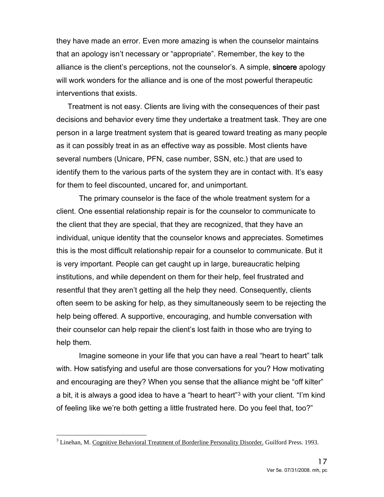they have made an error. Even more amazing is when the counselor maintains that an apology isn't necessary or "appropriate". Remember, the key to the alliance is the client's perceptions, not the counselor's. A simple, sincere apology will work wonders for the alliance and is one of the most powerful therapeutic interventions that exists.

Treatment is not easy. Clients are living with the consequences of their past decisions and behavior every time they undertake a treatment task. They are one person in a large treatment system that is geared toward treating as many people as it can possibly treat in as an effective way as possible. Most clients have several numbers (Unicare, PFN, case number, SSN, etc.) that are used to identify them to the various parts of the system they are in contact with. It's easy for them to feel discounted, uncared for, and unimportant.

The primary counselor is the face of the whole treatment system for a client. One essential relationship repair is for the counselor to communicate to the client that they are special, that they are recognized, that they have an individual, unique identity that the counselor knows and appreciates. Sometimes this is the most difficult relationship repair for a counselor to communicate. But it is very important. People can get caught up in large, bureaucratic helping institutions, and while dependent on them for their help, feel frustrated and resentful that they aren't getting all the help they need. Consequently, clients often seem to be asking for help, as they simultaneously seem to be rejecting the help being offered. A supportive, encouraging, and humble conversation with their counselor can help repair the client's lost faith in those who are trying to help them.

Imagine someone in your life that you can have a real "heart to heart" talk with. How satisfying and useful are those conversations for you? How motivating and encouraging are they? When you sense that the alliance might be "off kilter" a bit, it is always a good idea to have a "heart to heart"[3](#page-16-0) with your client. "I'm kind of feeling like we're both getting a little frustrated here. Do you feel that, too?"

<span id="page-16-0"></span> $\overline{a}$ <sup>3</sup> Linehan, M. Cognitive Behavioral Treatment of Borderline Personality Disorder. Guilford Press. 1993.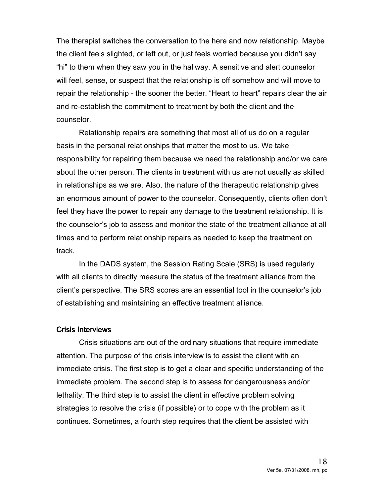The therapist switches the conversation to the here and now relationship. Maybe the client feels slighted, or left out, or just feels worried because you didn't say "hi" to them when they saw you in the hallway. A sensitive and alert counselor will feel, sense, or suspect that the relationship is off somehow and will move to repair the relationship - the sooner the better. "Heart to heart" repairs clear the air and re-establish the commitment to treatment by both the client and the counselor.

Relationship repairs are something that most all of us do on a regular basis in the personal relationships that matter the most to us. We take responsibility for repairing them because we need the relationship and/or we care about the other person. The clients in treatment with us are not usually as skilled in relationships as we are. Also, the nature of the therapeutic relationship gives an enormous amount of power to the counselor. Consequently, clients often don't feel they have the power to repair any damage to the treatment relationship. It is the counselor's job to assess and monitor the state of the treatment alliance at all times and to perform relationship repairs as needed to keep the treatment on track.

In the DADS system, the Session Rating Scale (SRS) is used regularly with all clients to directly measure the status of the treatment alliance from the client's perspective. The SRS scores are an essential tool in the counselor's job of establishing and maintaining an effective treatment alliance.

#### Crisis Interviews

Crisis situations are out of the ordinary situations that require immediate attention. The purpose of the crisis interview is to assist the client with an immediate crisis. The first step is to get a clear and specific understanding of the immediate problem. The second step is to assess for dangerousness and/or lethality. The third step is to assist the client in effective problem solving strategies to resolve the crisis (if possible) or to cope with the problem as it continues. Sometimes, a fourth step requires that the client be assisted with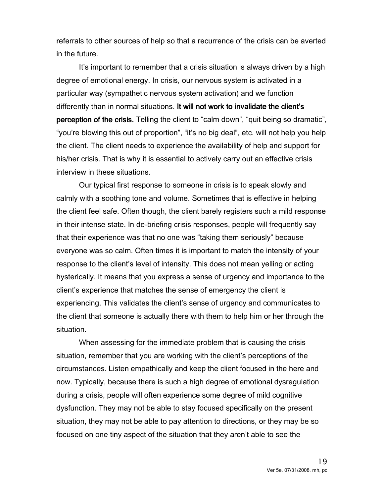referrals to other sources of help so that a recurrence of the crisis can be averted in the future.

It's important to remember that a crisis situation is always driven by a high degree of emotional energy. In crisis, our nervous system is activated in a particular way (sympathetic nervous system activation) and we function differently than in normal situations. It will not work to invalidate the client's perception of the crisis. Telling the client to "calm down", "quit being so dramatic", "you're blowing this out of proportion", "it's no big deal", etc. will not help you help the client. The client needs to experience the availability of help and support for his/her crisis. That is why it is essential to actively carry out an effective crisis interview in these situations.

Our typical first response to someone in crisis is to speak slowly and calmly with a soothing tone and volume. Sometimes that is effective in helping the client feel safe. Often though, the client barely registers such a mild response in their intense state. In de-briefing crisis responses, people will frequently say that their experience was that no one was "taking them seriously" because everyone was so calm. Often times it is important to match the intensity of your response to the client's level of intensity. This does not mean yelling or acting hysterically. It means that you express a sense of urgency and importance to the client's experience that matches the sense of emergency the client is experiencing. This validates the client's sense of urgency and communicates to the client that someone is actually there with them to help him or her through the situation.

When assessing for the immediate problem that is causing the crisis situation, remember that you are working with the client's perceptions of the circumstances. Listen empathically and keep the client focused in the here and now. Typically, because there is such a high degree of emotional dysregulation during a crisis, people will often experience some degree of mild cognitive dysfunction. They may not be able to stay focused specifically on the present situation, they may not be able to pay attention to directions, or they may be so focused on one tiny aspect of the situation that they aren't able to see the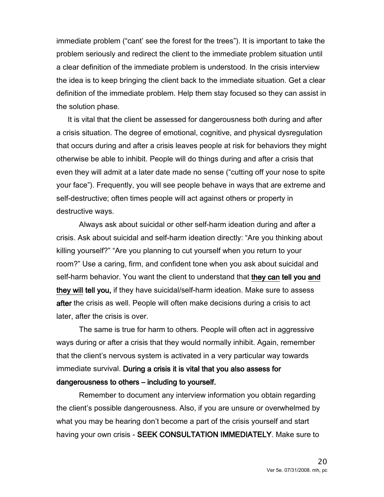immediate problem ("cant' see the forest for the trees"). It is important to take the problem seriously and redirect the client to the immediate problem situation until a clear definition of the immediate problem is understood. In the crisis interview the idea is to keep bringing the client back to the immediate situation. Get a clear definition of the immediate problem. Help them stay focused so they can assist in the solution phase.

It is vital that the client be assessed for dangerousness both during and after a crisis situation. The degree of emotional, cognitive, and physical dysregulation that occurs during and after a crisis leaves people at risk for behaviors they might otherwise be able to inhibit. People will do things during and after a crisis that even they will admit at a later date made no sense ("cutting off your nose to spite your face"). Frequently, you will see people behave in ways that are extreme and self-destructive; often times people will act against others or property in destructive ways.

Always ask about suicidal or other self-harm ideation during and after a crisis. Ask about suicidal and self-harm ideation directly: "Are you thinking about killing yourself?" "Are you planning to cut yourself when you return to your room?" Use a caring, firm, and confident tone when you ask about suicidal and self-harm behavior. You want the client to understand that they can tell you and they will tell you, if they have suicidal/self-harm ideation. Make sure to assess after the crisis as well. People will often make decisions during a crisis to act later, after the crisis is over.

The same is true for harm to others. People will often act in aggressive ways during or after a crisis that they would normally inhibit. Again, remember that the client's nervous system is activated in a very particular way towards immediate survival. During a crisis it is vital that you also assess for dangerousness to others – including to yourself.

Remember to document any interview information you obtain regarding the client's possible dangerousness. Also, if you are unsure or overwhelmed by what you may be hearing don't become a part of the crisis yourself and start having your own crisis - SEEK CONSULTATION IMMEDIATELY. Make sure to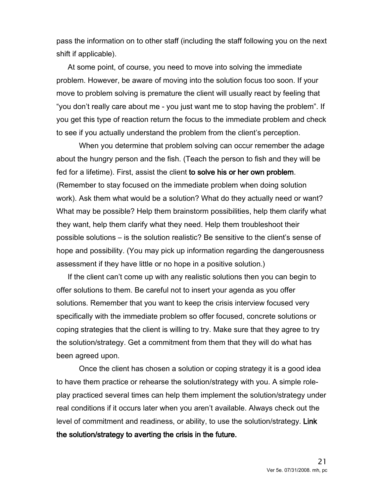pass the information on to other staff (including the staff following you on the next shift if applicable).

At some point, of course, you need to move into solving the immediate problem. However, be aware of moving into the solution focus too soon. If your move to problem solving is premature the client will usually react by feeling that "you don't really care about me - you just want me to stop having the problem". If you get this type of reaction return the focus to the immediate problem and check to see if you actually understand the problem from the client's perception.

When you determine that problem solving can occur remember the adage about the hungry person and the fish. (Teach the person to fish and they will be fed for a lifetime). First, assist the client to solve his or her own problem. (Remember to stay focused on the immediate problem when doing solution work). Ask them what would be a solution? What do they actually need or want? What may be possible? Help them brainstorm possibilities, help them clarify what they want, help them clarify what they need. Help them troubleshoot their possible solutions – is the solution realistic? Be sensitive to the client's sense of hope and possibility. (You may pick up information regarding the dangerousness assessment if they have little or no hope in a positive solution.)

If the client can't come up with any realistic solutions then you can begin to offer solutions to them. Be careful not to insert your agenda as you offer solutions. Remember that you want to keep the crisis interview focused very specifically with the immediate problem so offer focused, concrete solutions or coping strategies that the client is willing to try. Make sure that they agree to try the solution/strategy. Get a commitment from them that they will do what has been agreed upon.

Once the client has chosen a solution or coping strategy it is a good idea to have them practice or rehearse the solution/strategy with you. A simple roleplay practiced several times can help them implement the solution/strategy under real conditions if it occurs later when you aren't available. Always check out the level of commitment and readiness, or ability, to use the solution/strategy. Link the solution/strategy to averting the crisis in the future.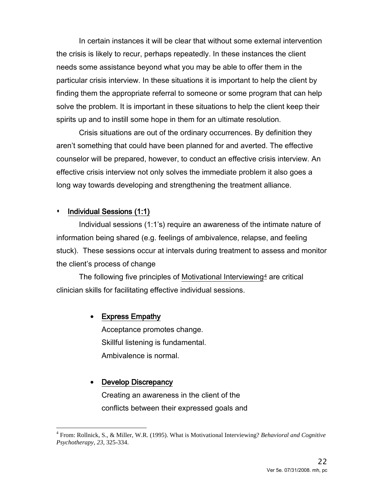In certain instances it will be clear that without some external intervention the crisis is likely to recur, perhaps repeatedly. In these instances the client needs some assistance beyond what you may be able to offer them in the particular crisis interview. In these situations it is important to help the client by finding them the appropriate referral to someone or some program that can help solve the problem. It is important in these situations to help the client keep their spirits up and to instill some hope in them for an ultimate resolution.

Crisis situations are out of the ordinary occurrences. By definition they aren't something that could have been planned for and averted. The effective counselor will be prepared, however, to conduct an effective crisis interview. An effective crisis interview not only solves the immediate problem it also goes a long way towards developing and strengthening the treatment alliance.

#### Individual Sessions (1:1)

Individual sessions (1:1's) require an awareness of the intimate nature of information being shared (e.g. feelings of ambivalence, relapse, and feeling stuck). These sessions occur at intervals during treatment to assess and monitor the client's process of change

The following five principles of Motivational Interviewing  $4$  are critical clinician skills for facilitating effective individual sessions.

#### • Express Empathy

Acceptance promotes change. Skillful listening is fundamental. Ambivalence is normal.

#### • Develop Discrepancy

Creating an awareness in the client of the conflicts between their expressed goals and

<span id="page-21-0"></span> $\overline{\phantom{a}}$ <sup>4</sup> From: Rollnick, S., & Miller, W.R. (1995). What is Motivational Interviewing? *Behavioral and Cognitive Psychotherapy, 23*, 325-334.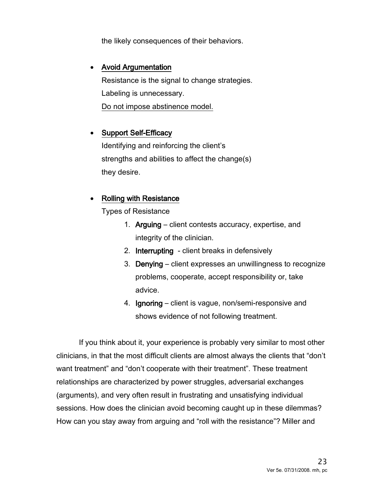the likely consequences of their behaviors.

#### • Avoid Argumentation

Resistance is the signal to change strategies. Labeling is unnecessary. Do not impose abstinence model.

## • Support Self-Efficacy

Identifying and reinforcing the client's strengths and abilities to affect the change(s) they desire.

## • Rolling with Resistance

Types of Resistance

- 1. Arguing client contests accuracy, expertise, and integrity of the clinician.
- 2. Interrupting client breaks in defensively
- 3. Denying client expresses an unwillingness to recognize problems, cooperate, accept responsibility or, take advice.
- 4. Ignoring client is vague, non/semi-responsive and shows evidence of not following treatment.

If you think about it, your experience is probably very similar to most other clinicians, in that the most difficult clients are almost always the clients that "don't want treatment" and "don't cooperate with their treatment". These treatment relationships are characterized by power struggles, adversarial exchanges (arguments), and very often result in frustrating and unsatisfying individual sessions. How does the clinician avoid becoming caught up in these dilemmas? How can you stay away from arguing and "roll with the resistance"? Miller and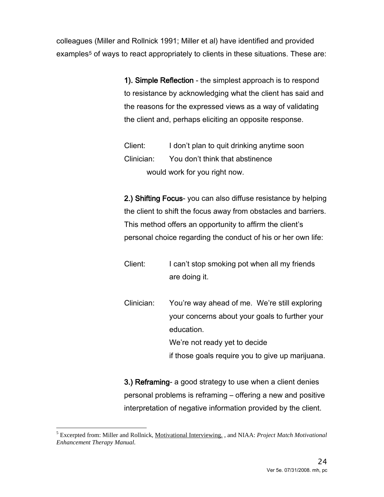colleagues (Miller and Rollnick 1991; Miller et al) have identified and provided examples<sup>[5](#page-23-0)</sup> of ways to react appropriately to clients in these situations. These are:

> 1). Simple Reflection - the simplest approach is to respond to resistance by acknowledging what the client has said and the reasons for the expressed views as a way of validating the client and, perhaps eliciting an opposite response.

Client: I don't plan to quit drinking anytime soon Clinician: You don't think that abstinence would work for you right now.

2.) Shifting Focus- you can also diffuse resistance by helping the client to shift the focus away from obstacles and barriers. This method offers an opportunity to affirm the client's personal choice regarding the conduct of his or her own life:

Client: I can't stop smoking pot when all my friends are doing it.

Clinician: You're way ahead of me. We're still exploring your concerns about your goals to further your education. We're not ready yet to decide if those goals require you to give up marijuana.

3.) Reframing- a good strategy to use when a client denies personal problems is reframing – offering a new and positive interpretation of negative information provided by the client.

<span id="page-23-0"></span> $\overline{a}$ <sup>5</sup> Excerpted from: Miller and Rollnick, Motivational Interviewing. , and NIAA: *Project Match Motivational Enhancement Therapy Manual*.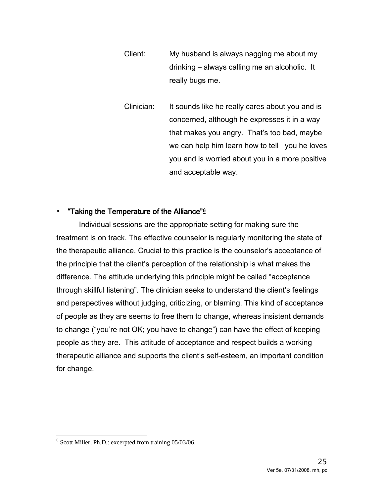- Client: My husband is always nagging me about my drinking – always calling me an alcoholic. It really bugs me.
- Clinician: It sounds like he really cares about you and is concerned, although he expresses it in a way that makes you angry. That's too bad, maybe we can help him learn how to tell you he loves you and is worried about you in a more positive and acceptable way.

#### **\*** "Taking the Temperature of the Alliance"<sup>[6](#page-24-0)</sup>

Individual sessions are the appropriate setting for making sure the treatment is on track. The effective counselor is regularly monitoring the state of the therapeutic alliance. Crucial to this practice is the counselor's acceptance of the principle that the client's perception of the relationship is what makes the difference. The attitude underlying this principle might be called "acceptance through skillful listening". The clinician seeks to understand the client's feelings and perspectives without judging, criticizing, or blaming. This kind of acceptance of people as they are seems to free them to change, whereas insistent demands to change ("you're not OK; you have to change") can have the effect of keeping people as they are. This attitude of acceptance and respect builds a working therapeutic alliance and supports the client's self-esteem, an important condition for change.

<span id="page-24-0"></span>j  $6$  Scott Miller, Ph.D.: excerpted from training 05/03/06.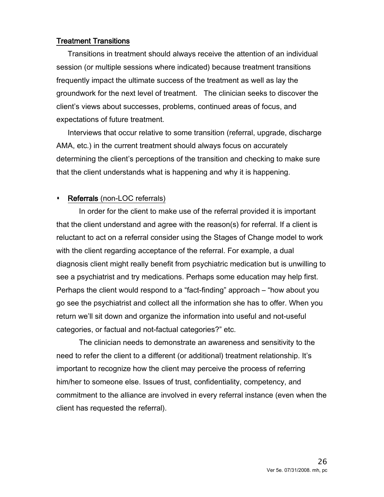#### Treatment Transitions

Transitions in treatment should always receive the attention of an individual session (or multiple sessions where indicated) because treatment transitions frequently impact the ultimate success of the treatment as well as lay the groundwork for the next level of treatment. The clinician seeks to discover the client's views about successes, problems, continued areas of focus, and expectations of future treatment.

Interviews that occur relative to some transition (referral, upgrade, discharge AMA, etc.) in the current treatment should always focus on accurately determining the client's perceptions of the transition and checking to make sure that the client understands what is happening and why it is happening.

#### Referrals (non-LOC referrals)

In order for the client to make use of the referral provided it is important that the client understand and agree with the reason(s) for referral. If a client is reluctant to act on a referral consider using the Stages of Change model to work with the client regarding acceptance of the referral. For example, a dual diagnosis client might really benefit from psychiatric medication but is unwilling to see a psychiatrist and try medications. Perhaps some education may help first. Perhaps the client would respond to a "fact-finding" approach – "how about you go see the psychiatrist and collect all the information she has to offer. When you return we'll sit down and organize the information into useful and not-useful categories, or factual and not-factual categories?" etc.

The clinician needs to demonstrate an awareness and sensitivity to the need to refer the client to a different (or additional) treatment relationship. It's important to recognize how the client may perceive the process of referring him/her to someone else. Issues of trust, confidentiality, competency, and commitment to the alliance are involved in every referral instance (even when the client has requested the referral).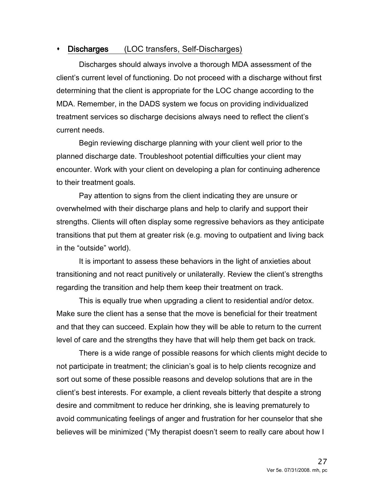## Discharges (LOC transfers, Self-Discharges)

Discharges should always involve a thorough MDA assessment of the client's current level of functioning. Do not proceed with a discharge without first determining that the client is appropriate for the LOC change according to the MDA. Remember, in the DADS system we focus on providing individualized treatment services so discharge decisions always need to reflect the client's current needs.

Begin reviewing discharge planning with your client well prior to the planned discharge date. Troubleshoot potential difficulties your client may encounter. Work with your client on developing a plan for continuing adherence to their treatment goals.

Pay attention to signs from the client indicating they are unsure or overwhelmed with their discharge plans and help to clarify and support their strengths. Clients will often display some regressive behaviors as they anticipate transitions that put them at greater risk (e.g. moving to outpatient and living back in the "outside" world).

It is important to assess these behaviors in the light of anxieties about transitioning and not react punitively or unilaterally. Review the client's strengths regarding the transition and help them keep their treatment on track.

This is equally true when upgrading a client to residential and/or detox. Make sure the client has a sense that the move is beneficial for their treatment and that they can succeed. Explain how they will be able to return to the current level of care and the strengths they have that will help them get back on track.

There is a wide range of possible reasons for which clients might decide to not participate in treatment; the clinician's goal is to help clients recognize and sort out some of these possible reasons and develop solutions that are in the client's best interests. For example, a client reveals bitterly that despite a strong desire and commitment to reduce her drinking, she is leaving prematurely to avoid communicating feelings of anger and frustration for her counselor that she believes will be minimized ("My therapist doesn't seem to really care about how I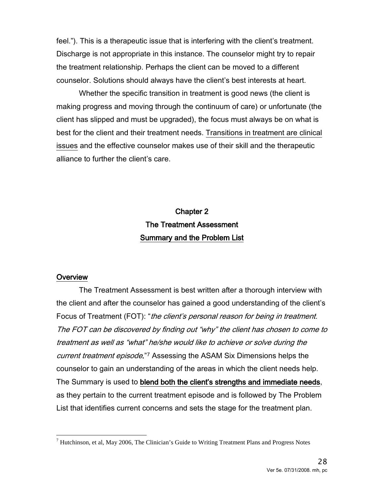feel."). This is a therapeutic issue that is interfering with the client's treatment. Discharge is not appropriate in this instance. The counselor might try to repair the treatment relationship. Perhaps the client can be moved to a different counselor. Solutions should always have the client's best interests at heart.

Whether the specific transition in treatment is good news (the client is making progress and moving through the continuum of care) or unfortunate (the client has slipped and must be upgraded), the focus must always be on what is best for the client and their treatment needs. Transitions in treatment are clinical issues and the effective counselor makes use of their skill and the therapeutic alliance to further the client's care.

# Chapter 2 The Treatment Assessment Summary and the Problem List

#### **Overview**

The Treatment Assessment is best written after a thorough interview with the client and after the counselor has gained a good understanding of the client's Focus of Treatment (FOT): "*the client's personal reason for being in treatment.* The FOT can be discovered by finding out "why" the client has chosen to come to treatment as well as "what" he/she would like to achieve or solve during the current treatment episode."<sup>[7](#page-27-0)</sup> Assessing the ASAM Six Dimensions helps the counselor to gain an understanding of the areas in which the client needs help. The Summary is used to blend both the client's strengths and immediate needs, as they pertain to the current treatment episode and is followed by The Problem List that identifies current concerns and sets the stage for the treatment plan.

<span id="page-27-0"></span> $\overline{a}$  $^7$  Hutchinson, et al, May 2006, The Clinician's Guide to Writing Treatment Plans and Progress Notes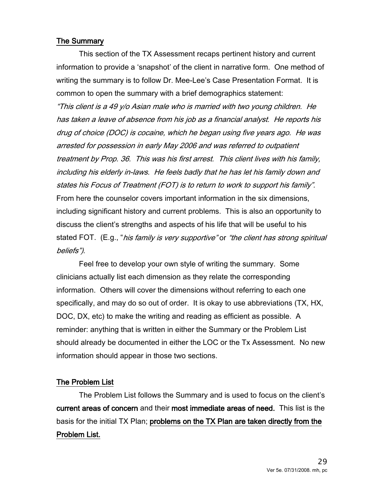#### The Summary

This section of the TX Assessment recaps pertinent history and current information to provide a 'snapshot' of the client in narrative form. One method of writing the summary is to follow Dr. Mee-Lee's Case Presentation Format. It is common to open the summary with a brief demographics statement:

"This client is a 49 y/o Asian male who is married with two young children. He has taken a leave of absence from his job as a financial analyst. He reports his drug of choice (DOC) is cocaine, which he began using five years ago. He was arrested for possession in early May 2006 and was referred to outpatient treatment by Prop. 36. This was his first arrest. This client lives with his family, including his elderly in-laws. He feels badly that he has let his family down and states his Focus of Treatment (FOT) is to return to work to support his family". From here the counselor covers important information in the six dimensions, including significant history and current problems. This is also an opportunity to discuss the client's strengths and aspects of his life that will be useful to his stated FOT. (E.g., "his family is very supportive" or "the client has strong spiritual beliefs").

Feel free to develop your own style of writing the summary. Some clinicians actually list each dimension as they relate the corresponding information. Others will cover the dimensions without referring to each one specifically, and may do so out of order. It is okay to use abbreviations (TX, HX, DOC, DX, etc) to make the writing and reading as efficient as possible. A reminder: anything that is written in either the Summary or the Problem List should already be documented in either the LOC or the Tx Assessment. No new information should appear in those two sections.

#### The Problem List

The Problem List follows the Summary and is used to focus on the client's current areas of concern and their most immediate areas of need. This list is the basis for the initial TX Plan; problems on the TX Plan are taken directly from the Problem List.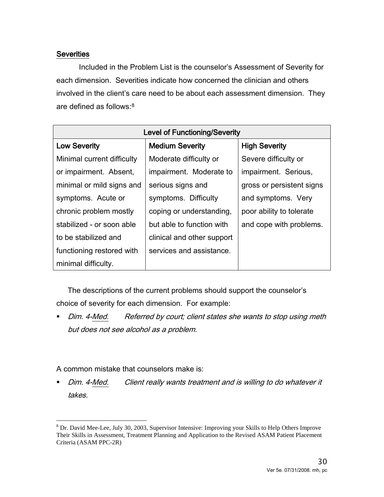## **Severities**

Included in the Problem List is the counselor's Assessment of Severity for each dimension. Severities indicate how concerned the clinician and others involved in the client's care need to be about each assessment dimension. They are defined as follows:[8](#page-29-0)

| <b>Level of Functioning/Severity</b>           |                            |                           |  |
|------------------------------------------------|----------------------------|---------------------------|--|
| <b>Low Severity</b>                            | <b>Medium Severity</b>     | <b>High Severity</b>      |  |
| Minimal current difficulty                     | Moderate difficulty or     | Severe difficulty or      |  |
| or impairment. Absent,                         | impairment. Moderate to    | impairment. Serious,      |  |
| minimal or mild signs and<br>serious signs and |                            | gross or persistent signs |  |
| symptoms. Difficulty<br>symptoms. Acute or     |                            | and symptoms. Very        |  |
| chronic problem mostly                         | coping or understanding,   | poor ability to tolerate  |  |
| stabilized - or soon able                      | but able to function with  | and cope with problems.   |  |
| to be stabilized and                           | clinical and other support |                           |  |
| functioning restored with                      | services and assistance.   |                           |  |
| minimal difficulty.                            |                            |                           |  |

The descriptions of the current problems should support the counselor's choice of severity for each dimension. For example:

Dim. 4-Med. Referred by court; client states she wants to stop using meth but does not see alcohol as a problem.

A common mistake that counselors make is:

Dim. 4-Med. Client really wants treatment and is willing to do whatever it takes.

<span id="page-29-0"></span> $\overline{a}$  $8$  Dr. David Mee-Lee, July 30, 2003, Supervisor Intensive: Improving your Skills to Help Others Improve Their Skills in Assessment, Treatment Planning and Application to the Revised ASAM Patient Placement Criteria (ASAM PPC-2R)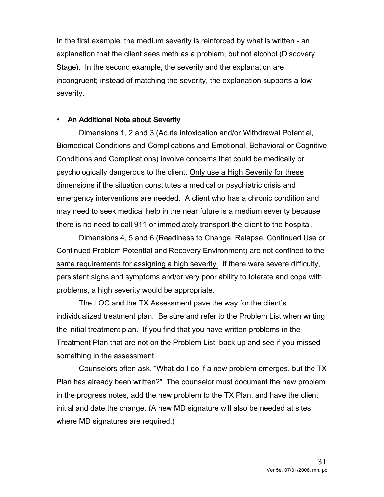In the first example, the medium severity is reinforced by what is written - an explanation that the client sees meth as a problem, but not alcohol (Discovery Stage). In the second example, the severity and the explanation are incongruent; instead of matching the severity, the explanation supports a low severity.

#### An Additional Note about Severity

Dimensions 1, 2 and 3 (Acute intoxication and/or Withdrawal Potential, Biomedical Conditions and Complications and Emotional, Behavioral or Cognitive Conditions and Complications) involve concerns that could be medically or psychologically dangerous to the client. Only use a High Severity for these dimensions if the situation constitutes a medical or psychiatric crisis and emergency interventions are needed. A client who has a chronic condition and may need to seek medical help in the near future is a medium severity because there is no need to call 911 or immediately transport the client to the hospital.

Dimensions 4, 5 and 6 (Readiness to Change, Relapse, Continued Use or Continued Problem Potential and Recovery Environment) are not confined to the same requirements for assigning a high severity. If there were severe difficulty, persistent signs and symptoms and/or very poor ability to tolerate and cope with problems, a high severity would be appropriate.

The LOC and the TX Assessment pave the way for the client's individualized treatment plan. Be sure and refer to the Problem List when writing the initial treatment plan. If you find that you have written problems in the Treatment Plan that are not on the Problem List, back up and see if you missed something in the assessment.

Counselors often ask, "What do I do if a new problem emerges, but the TX Plan has already been written?" The counselor must document the new problem in the progress notes, add the new problem to the TX Plan, and have the client initial and date the change. (A new MD signature will also be needed at sites where MD signatures are required.)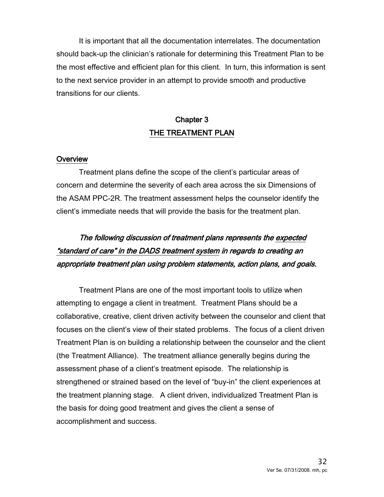It is important that all the documentation interrelates. The documentation should back-up the clinician's rationale for determining this Treatment Plan to be the most effective and efficient plan for this client. In turn, this information is sent to the next service provider in an attempt to provide smooth and productive transitions for our clients.

# Chapter 3 THE TREATMENT PLAN

#### **Overview**

Treatment plans define the scope of the client's particular areas of concern and determine the severity of each area across the six Dimensions of the ASAM PPC-2R. The treatment assessment helps the counselor identify the client's immediate needs that will provide the basis for the treatment plan.

# The following discussion of treatment plans represents the expected "standard of care" in the DADS treatment system in regards to creating an appropriate treatment plan using problem statements, action plans, and goals.

Treatment Plans are one of the most important tools to utilize when attempting to engage a client in treatment. Treatment Plans should be a collaborative, creative, client driven activity between the counselor and client that focuses on the client's view of their stated problems. The focus of a client driven Treatment Plan is on building a relationship between the counselor and the client (the Treatment Alliance). The treatment alliance generally begins during the assessment phase of a client's treatment episode. The relationship is strengthened or strained based on the level of "buy-in" the client experiences at the treatment planning stage. A client driven, individualized Treatment Plan is the basis for doing good treatment and gives the client a sense of accomplishment and success.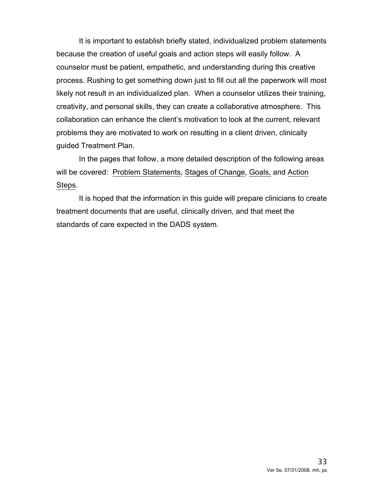It is important to establish briefly stated, individualized problem statements because the creation of useful goals and action steps will easily follow. A counselor must be patient, empathetic, and understanding during this creative process. Rushing to get something down just to fill out all the paperwork will most likely not result in an individualized plan. When a counselor utilizes their training, creativity, and personal skills, they can create a collaborative atmosphere. This collaboration can enhance the client's motivation to look at the current, relevant problems they are motivated to work on resulting in a client driven, clinically guided Treatment Plan.

In the pages that follow, a more detailed description of the following areas will be covered: Problem Statements, Stages of Change, Goals, and Action Steps.

It is hoped that the information in this guide will prepare clinicians to create treatment documents that are useful, clinically driven, and that meet the standards of care expected in the DADS system.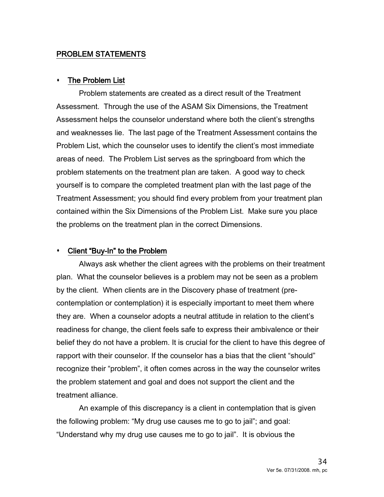## PROBLEM STATEMENTS

#### The Problem List

Problem statements are created as a direct result of the Treatment Assessment. Through the use of the ASAM Six Dimensions, the Treatment Assessment helps the counselor understand where both the client's strengths and weaknesses lie. The last page of the Treatment Assessment contains the Problem List, which the counselor uses to identify the client's most immediate areas of need. The Problem List serves as the springboard from which the problem statements on the treatment plan are taken. A good way to check yourself is to compare the completed treatment plan with the last page of the Treatment Assessment; you should find every problem from your treatment plan contained within the Six Dimensions of the Problem List. Make sure you place the problems on the treatment plan in the correct Dimensions.

#### Client "Buy-In" to the Problem

Always ask whether the client agrees with the problems on their treatment plan. What the counselor believes is a problem may not be seen as a problem by the client. When clients are in the Discovery phase of treatment (precontemplation or contemplation) it is especially important to meet them where they are. When a counselor adopts a neutral attitude in relation to the client's readiness for change, the client feels safe to express their ambivalence or their belief they do not have a problem. It is crucial for the client to have this degree of rapport with their counselor. If the counselor has a bias that the client "should" recognize their "problem", it often comes across in the way the counselor writes the problem statement and goal and does not support the client and the treatment alliance.

An example of this discrepancy is a client in contemplation that is given the following problem: "My drug use causes me to go to jail"; and goal: "Understand why my drug use causes me to go to jail". It is obvious the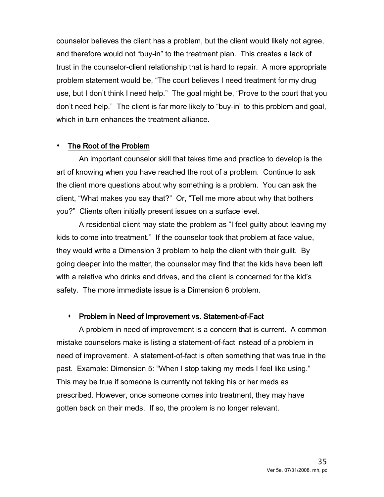counselor believes the client has a problem, but the client would likely not agree, and therefore would not "buy-in" to the treatment plan. This creates a lack of trust in the counselor-client relationship that is hard to repair. A more appropriate problem statement would be, "The court believes I need treatment for my drug use, but I don't think I need help." The goal might be, "Prove to the court that you don't need help." The client is far more likely to "buy-in" to this problem and goal, which in turn enhances the treatment alliance.

#### The Root of the Problem

An important counselor skill that takes time and practice to develop is the art of knowing when you have reached the root of a problem. Continue to ask the client more questions about why something is a problem. You can ask the client, "What makes you say that?" Or, "Tell me more about why that bothers you?" Clients often initially present issues on a surface level.

A residential client may state the problem as "I feel guilty about leaving my kids to come into treatment." If the counselor took that problem at face value, they would write a Dimension 3 problem to help the client with their guilt. By going deeper into the matter, the counselor may find that the kids have been left with a relative who drinks and drives, and the client is concerned for the kid's safety. The more immediate issue is a Dimension 6 problem.

#### Problem in Need of Improvement vs. Statement-of-Fact

A problem in need of improvement is a concern that is current. A common mistake counselors make is listing a statement-of-fact instead of a problem in need of improvement. A statement-of-fact is often something that was true in the past. Example: Dimension 5: "When I stop taking my meds I feel like using." This may be true if someone is currently not taking his or her meds as prescribed. However, once someone comes into treatment, they may have gotten back on their meds. If so, the problem is no longer relevant.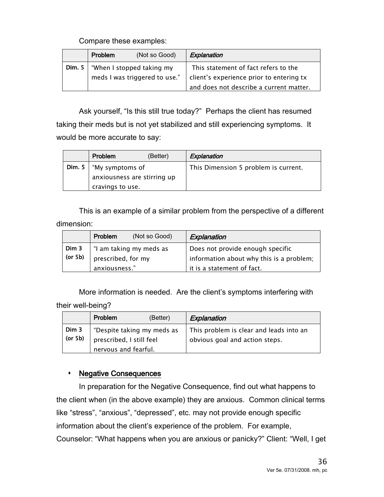## Compare these examples:

|               | Problem | (Not so Good)                                              | Explanation                                                                                                                 |
|---------------|---------|------------------------------------------------------------|-----------------------------------------------------------------------------------------------------------------------------|
| <b>Dim.</b> 5 |         | "When I stopped taking my<br>meds I was triggered to use." | This statement of fact refers to the<br>client's experience prior to entering tx<br>and does not describe a current matter. |

Ask yourself, "Is this still true today?" Perhaps the client has resumed taking their meds but is not yet stabilized and still experiencing symptoms. It would be more accurate to say:

|               | Problem                     | (Better) | Explanation                          |
|---------------|-----------------------------|----------|--------------------------------------|
| <b>Dim.</b> 5 | "My symptoms of             |          | This Dimension 5 problem is current. |
|               | anxiousness are stirring up |          |                                      |
|               | cravings to use.            |          |                                      |

This is an example of a similar problem from the perspective of a different dimension:

|         | Problem            | (Not so Good)           | Explanation                              |
|---------|--------------------|-------------------------|------------------------------------------|
| Dim 3   |                    | "I am taking my meds as | Does not provide enough specific         |
| (or 5b) | prescribed, for my |                         | information about why this is a problem; |
|         | anxiousness."      |                         | it is a statement of fact.               |

More information is needed. Are the client's symptoms interfering with their well-being?

|                  | Problem                                                                        | (Better) | Explanation                                                               |
|------------------|--------------------------------------------------------------------------------|----------|---------------------------------------------------------------------------|
| Dim 3<br>(or 5b) | "Despite taking my meds as<br>prescribed, I still feel<br>nervous and fearful. |          | This problem is clear and leads into an<br>obvious goal and action steps. |

## **\*** Negative Consequences

In preparation for the Negative Consequence, find out what happens to the client when (in the above example) they are anxious. Common clinical terms like "stress", "anxious", "depressed", etc. may not provide enough specific information about the client's experience of the problem. For example, Counselor: "What happens when you are anxious or panicky?" Client: "Well, I get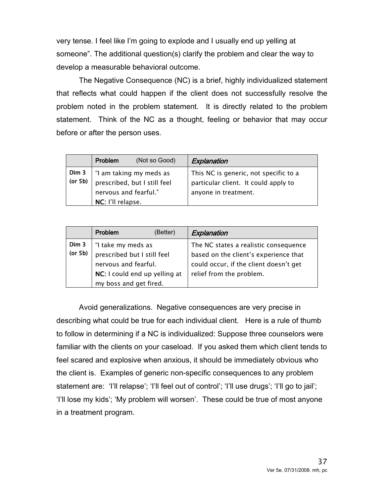very tense. I feel like I'm going to explode and I usually end up yelling at someone". The additional question(s) clarify the problem and clear the way to develop a measurable behavioral outcome.

The Negative Consequence (NC) is a brief, highly individualized statement that reflects what could happen if the client does not successfully resolve the problem noted in the problem statement. It is directly related to the problem statement. Think of the NC as a thought, feeling or behavior that may occur before or after the person uses.

|                  | Problem                                    | (Not so Good)                                           | Explanation                                                                                           |
|------------------|--------------------------------------------|---------------------------------------------------------|-------------------------------------------------------------------------------------------------------|
| Dim 3<br>(or 5b) | nervous and fearful."<br>NC: I'll relapse. | "I am taking my meds as<br>prescribed, but I still feel | This NC is generic, not specific to a<br>particular client. It could apply to<br>anyone in treatment. |

|                  | Problem                                                                                                    | (Better) | Explanation                                                                                                                                          |
|------------------|------------------------------------------------------------------------------------------------------------|----------|------------------------------------------------------------------------------------------------------------------------------------------------------|
| Dim 3<br>(or 5b) | "I take my meds as<br>prescribed but I still feel<br>nervous and fearful.<br>NC: I could end up yelling at |          | The NC states a realistic consequence<br>based on the client's experience that<br>could occur, if the client doesn't get<br>relief from the problem. |
|                  | my boss and get fired.                                                                                     |          |                                                                                                                                                      |

Avoid generalizations. Negative consequences are very precise in describing what could be true for each individual client. Here is a rule of thumb to follow in determining if a NC is individualized: Suppose three counselors were familiar with the clients on your caseload. If you asked them which client tends to feel scared and explosive when anxious, it should be immediately obvious who the client is. Examples of generic non-specific consequences to any problem statement are: 'I'll relapse'; 'I'll feel out of control'; 'I'll use drugs'; 'I'll go to jail'; 'I'll lose my kids'; 'My problem will worsen'. These could be true of most anyone in a treatment program.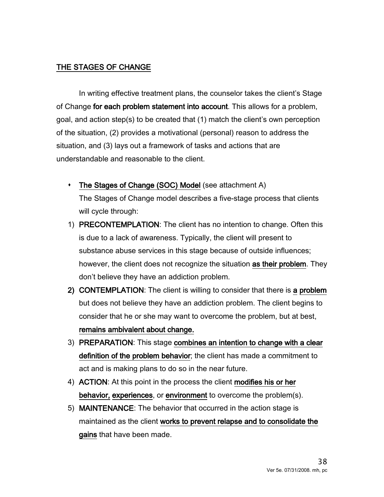## THE STAGES OF CHANGE

In writing effective treatment plans, the counselor takes the client's Stage of Change for each problem statement into account. This allows for a problem, goal, and action step(s) to be created that (1) match the client's own perception of the situation, (2) provides a motivational (personal) reason to address the situation, and (3) lays out a framework of tasks and actions that are understandable and reasonable to the client.

- The Stages of Change (SOC) Model (see attachment A) The Stages of Change model describes a five-stage process that clients will cycle through:
- 1) PRECONTEMPLATION: The client has no intention to change. Often this is due to a lack of awareness. Typically, the client will present to substance abuse services in this stage because of outside influences; however, the client does not recognize the situation as their problem. They don't believe they have an addiction problem.
- 2) CONTEMPLATION: The client is willing to consider that there is a problem but does not believe they have an addiction problem. The client begins to consider that he or she may want to overcome the problem, but at best, remains ambivalent about change.
- 3) PREPARATION: This stage combines an intention to change with a clear definition of the problem behavior; the client has made a commitment to act and is making plans to do so in the near future.
- 4) ACTION: At this point in the process the client modifies his or her behavior, experiences, or environment to overcome the problem(s).
- 5) MAINTENANCE: The behavior that occurred in the action stage is maintained as the client works to prevent relapse and to consolidate the gains that have been made.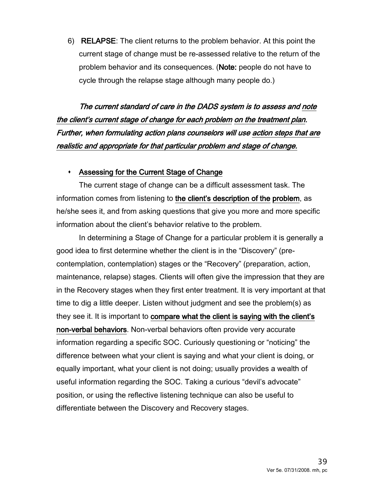6) RELAPSE: The client returns to the problem behavior. At this point the current stage of change must be re-assessed relative to the return of the problem behavior and its consequences. (Note: people do not have to cycle through the relapse stage although many people do.)

The current standard of care in the DADS system is to assess and note the client's current stage of change for each problem on the treatment plan. Further, when formulating action plans counselors will use action steps that are realistic and appropriate for that particular problem and stage of change.

#### Assessing for the Current Stage of Change

The current stage of change can be a difficult assessment task. The information comes from listening to the client's description of the problem, as he/she sees it, and from asking questions that give you more and more specific information about the client's behavior relative to the problem.

In determining a Stage of Change for a particular problem it is generally a good idea to first determine whether the client is in the "Discovery" (precontemplation, contemplation) stages or the "Recovery" (preparation, action, maintenance, relapse) stages. Clients will often give the impression that they are in the Recovery stages when they first enter treatment. It is very important at that time to dig a little deeper. Listen without judgment and see the problem(s) as they see it. It is important to compare what the client is saying with the client's non-verbal behaviors. Non-verbal behaviors often provide very accurate information regarding a specific SOC. Curiously questioning or "noticing" the difference between what your client is saying and what your client is doing, or equally important, what your client is not doing; usually provides a wealth of useful information regarding the SOC. Taking a curious "devil's advocate" position, or using the reflective listening technique can also be useful to differentiate between the Discovery and Recovery stages.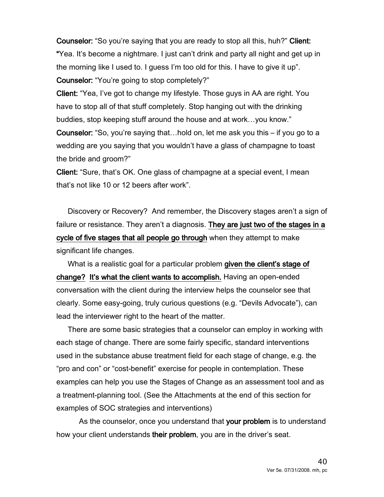Counselor: "So you're saying that you are ready to stop all this, huh?" Client: "Yea. It's become a nightmare. I just can't drink and party all night and get up in the morning like I used to. I guess I'm too old for this. I have to give it up". Counselor: "You're going to stop completely?"

Client: "Yea, I've got to change my lifestyle. Those guys in AA are right. You have to stop all of that stuff completely. Stop hanging out with the drinking buddies, stop keeping stuff around the house and at work…you know."

Counselor: "So, you're saying that…hold on, let me ask you this – if you go to a wedding are you saying that you wouldn't have a glass of champagne to toast the bride and groom?"

Client: "Sure, that's OK. One glass of champagne at a special event, I mean that's not like 10 or 12 beers after work".

Discovery or Recovery? And remember, the Discovery stages aren't a sign of failure or resistance. They aren't a diagnosis. They are just two of the stages in a cycle of five stages that all people go through when they attempt to make significant life changes.

What is a realistic goal for a particular problem given the client's stage of change? It's what the client wants to accomplish. Having an open-ended conversation with the client during the interview helps the counselor see that clearly. Some easy-going, truly curious questions (e.g. "Devils Advocate"), can lead the interviewer right to the heart of the matter.

There are some basic strategies that a counselor can employ in working with each stage of change. There are some fairly specific, standard interventions used in the substance abuse treatment field for each stage of change, e.g. the "pro and con" or "cost-benefit" exercise for people in contemplation. These examples can help you use the Stages of Change as an assessment tool and as a treatment-planning tool. (See the Attachments at the end of this section for examples of SOC strategies and interventions)

 As the counselor, once you understand that your problem is to understand how your client understands their problem, you are in the driver's seat.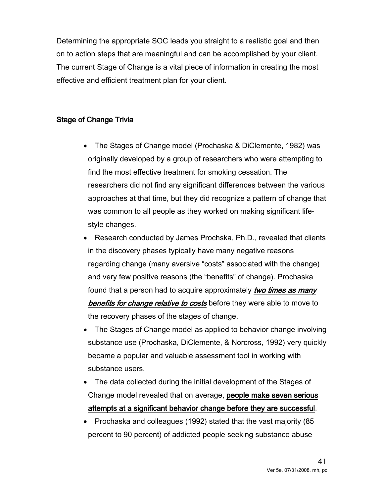Determining the appropriate SOC leads you straight to a realistic goal and then on to action steps that are meaningful and can be accomplished by your client. The current Stage of Change is a vital piece of information in creating the most effective and efficient treatment plan for your client.

## Stage of Change Trivia

- The Stages of Change model (Prochaska & DiClemente, 1982) was originally developed by a group of researchers who were attempting to find the most effective treatment for smoking cessation. The researchers did not find any significant differences between the various approaches at that time, but they did recognize a pattern of change that was common to all people as they worked on making significant lifestyle changes.
- Research conducted by James Prochska, Ph.D., revealed that clients in the discovery phases typically have many negative reasons regarding change (many aversive "costs" associated with the change) and very few positive reasons (the "benefits" of change). Prochaska found that a person had to acquire approximately two times as many **benefits for change relative to costs** before they were able to move to the recovery phases of the stages of change.
- The Stages of Change model as applied to behavior change involving substance use (Prochaska, DiClemente, & Norcross, 1992) very quickly became a popular and valuable assessment tool in working with substance users.
- The data collected during the initial development of the Stages of Change model revealed that on average, people make seven serious attempts at a significant behavior change before they are successful.
- Prochaska and colleagues (1992) stated that the vast majority (85 percent to 90 percent) of addicted people seeking substance abuse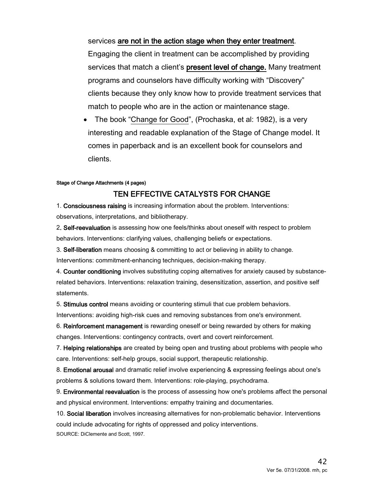services are not in the action stage when they enter treatment. Engaging the client in treatment can be accomplished by providing services that match a client's present level of change. Many treatment programs and counselors have difficulty working with "Discovery" clients because they only know how to provide treatment services that match to people who are in the action or maintenance stage.

• The book "Change for Good", (Prochaska, et al: 1982), is a very interesting and readable explanation of the Stage of Change model. It comes in paperback and is an excellent book for counselors and clients.

#### Stage of Change Attachments (4 pages)

#### TEN EFFECTIVE CATALYSTS FOR CHANGE

1. Consciousness raising is increasing information about the problem. Interventions: observations, interpretations, and bibliotherapy.

2. Self-reevaluation is assessing how one feels/thinks about oneself with respect to problem behaviors. Interventions: clarifying values, challenging beliefs or expectations.

3. Self-liberation means choosing & committing to act or believing in ability to change.

Interventions: commitment-enhancing techniques, decision-making therapy.

4. Counter conditioning involves substituting coping alternatives for anxiety caused by substancerelated behaviors. Interventions: relaxation training, desensitization, assertion, and positive self statements.

5. Stimulus control means avoiding or countering stimuli that cue problem behaviors.

Interventions: avoiding high-risk cues and removing substances from one's environment.

6. Reinforcement management is rewarding oneself or being rewarded by others for making changes. Interventions: contingency contracts, overt and covert reinforcement.

7. Helping relationships are created by being open and trusting about problems with people who care. Interventions: self-help groups, social support, therapeutic relationship.

8. Emotional arousal and dramatic relief involve experiencing & expressing feelings about one's problems & solutions toward them. Interventions: role-playing, psychodrama.

9. Environmental reevaluation is the process of assessing how one's problems affect the personal and physical environment. Interventions: empathy training and documentaries.

10. Social liberation involves increasing alternatives for non-problematic behavior. Interventions could include advocating for rights of oppressed and policy interventions. SOURCE: DiClemente and Scott, 1997.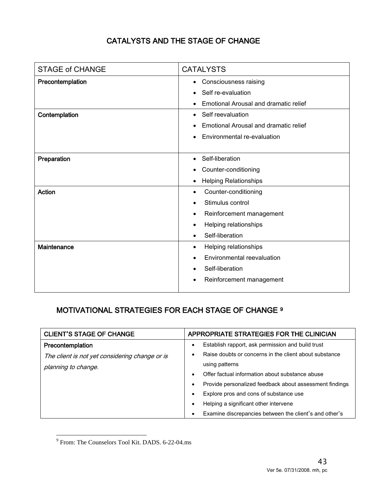## CATALYSTS AND THE STAGE OF CHANGE

| <b>CATALYSTS</b>                      |
|---------------------------------------|
| Consciousness raising<br>٠            |
| Self re-evaluation                    |
| Emotional Arousal and dramatic relief |
| Self reevaluation                     |
| Emotional Arousal and dramatic relief |
| Environmental re-evaluation           |
| Self-liberation                       |
| Counter-conditioning                  |
| <b>Helping Relationships</b>          |
| Counter-conditioning                  |
| Stimulus control                      |
| Reinforcement management<br>٠         |
| Helping relationships<br>٠            |
| Self-liberation                       |
| Helping relationships<br>٠            |
| Environmental reevaluation            |
| Self-liberation                       |
| Reinforcement management<br>$\bullet$ |
|                                       |

## MOTIVATIONAL STRATEGIES FOR EACH STAGE OF CHANGE [9](#page-42-0)

| <b>CLIENT'S STAGE OF CHANGE</b>                | APPROPRIATE STRATEGIES FOR THE CLINICIAN                             |
|------------------------------------------------|----------------------------------------------------------------------|
| Precontemplation                               | Establish rapport, ask permission and build trust                    |
| The client is not yet considering change or is | Raise doubts or concerns in the client about substance               |
| planning to change.                            | using patterns                                                       |
|                                                | Offer factual information about substance abuse<br>$\bullet$         |
|                                                | Provide personalized feedback about assessment findings<br>$\bullet$ |
|                                                | Explore pros and cons of substance use<br>$\bullet$                  |
|                                                | Helping a significant other intervene<br>$\bullet$                   |
|                                                | Examine discrepancies between the client's and other's<br>$\bullet$  |

<span id="page-42-0"></span> $\overline{a}$ <sup>9</sup> From: The Counselors Tool Kit. DADS. 6-22-04.ms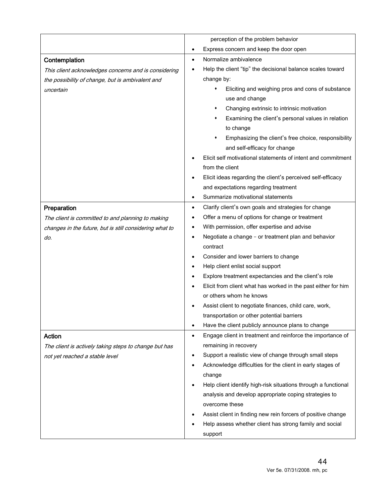|                                                         | perception of the problem behavior                                      |
|---------------------------------------------------------|-------------------------------------------------------------------------|
|                                                         | Express concern and keep the door open<br>$\bullet$                     |
| Contemplation                                           | Normalize ambivalence<br>$\bullet$                                      |
| This client acknowledges concerns and is considering    | Help the client "tip" the decisional balance scales toward              |
| the possibility of change, but is ambivalent and        | change by:                                                              |
| uncertain                                               | Eliciting and weighing pros and cons of substance<br>٠                  |
|                                                         | use and change                                                          |
|                                                         | Changing extrinsic to intrinsic motivation<br>٠                         |
|                                                         | Examining the client's personal values in relation<br>٠                 |
|                                                         | to change                                                               |
|                                                         | Emphasizing the client's free choice, responsibility                    |
|                                                         | and self-efficacy for change                                            |
|                                                         | Elicit self motivational statements of intent and commitment            |
|                                                         | from the client                                                         |
|                                                         | Elicit ideas regarding the client's perceived self-efficacy             |
|                                                         | and expectations regarding treatment                                    |
|                                                         | Summarize motivational statements<br>$\bullet$                          |
| Preparation                                             | Clarify client's own goals and strategies for change<br>$\bullet$       |
| The client is committed to and planning to making       | Offer a menu of options for change or treatment<br>٠                    |
| changes in the future, but is still considering what to | With permission, offer expertise and advise<br>٠                        |
| do.                                                     | Negotiate a change - or treatment plan and behavior<br>$\bullet$        |
|                                                         | contract                                                                |
|                                                         | Consider and lower barriers to change<br>٠                              |
|                                                         | Help client enlist social support                                       |
|                                                         | Explore treatment expectancies and the client's role<br>٠               |
|                                                         | Elicit from client what has worked in the past either for him           |
|                                                         | or others whom he knows                                                 |
|                                                         | Assist client to negotiate finances, child care, work,                  |
|                                                         | transportation or other potential barriers                              |
|                                                         | Have the client publicly announce plans to change<br>$\bullet$          |
| Action                                                  | Engage client in treatment and reinforce the importance of<br>$\bullet$ |
| The client is actively taking steps to change but has   | remaining in recovery                                                   |
| not yet reached a stable level                          | Support a realistic view of change through small steps<br>$\bullet$     |
|                                                         | Acknowledge difficulties for the client in early stages of              |
|                                                         | change                                                                  |
|                                                         | Help client identify high-risk situations through a functional          |
|                                                         | analysis and develop appropriate coping strategies to                   |
|                                                         | overcome these                                                          |
|                                                         | Assist client in finding new rein forcers of positive change            |
|                                                         | Help assess whether client has strong family and social                 |
|                                                         | support                                                                 |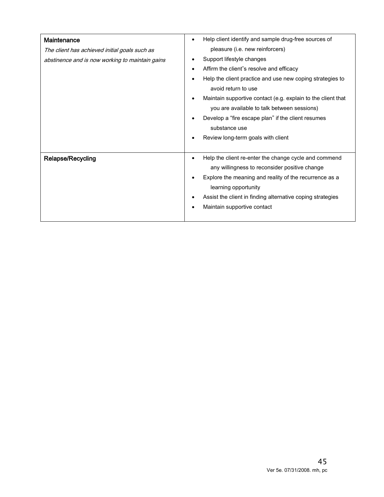| <b>Maintenance</b>                              | Help client identify and sample drug-free sources of<br>٠    |
|-------------------------------------------------|--------------------------------------------------------------|
| The client has achieved initial goals such as   | pleasure (i.e. new reinforcers)                              |
| abstinence and is now working to maintain gains | Support lifestyle changes                                    |
|                                                 | Affirm the client's resolve and efficacy                     |
|                                                 | Help the client practice and use new coping strategies to    |
|                                                 | avoid return to use                                          |
|                                                 | Maintain supportive contact (e.g. explain to the client that |
|                                                 | you are available to talk between sessions)                  |
|                                                 | Develop a "fire escape plan" if the client resumes           |
|                                                 | substance use                                                |
|                                                 | Review long-term goals with client                           |
|                                                 |                                                              |
| <b>Relapse/Recycling</b>                        | Help the client re-enter the change cycle and commend        |
|                                                 | any willingness to reconsider positive change                |
|                                                 | Explore the meaning and reality of the recurrence as a       |
|                                                 | learning opportunity                                         |
|                                                 | Assist the client in finding alternative coping strategies   |
|                                                 | Maintain supportive contact                                  |
|                                                 |                                                              |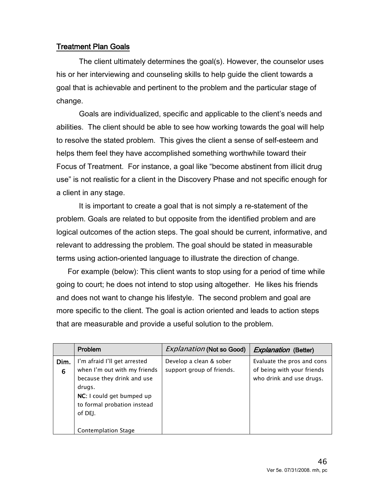## Treatment Plan Goals

The client ultimately determines the goal(s). However, the counselor uses his or her interviewing and counseling skills to help guide the client towards a goal that is achievable and pertinent to the problem and the particular stage of change.

Goals are individualized, specific and applicable to the client's needs and abilities. The client should be able to see how working towards the goal will help to resolve the stated problem. This gives the client a sense of self-esteem and helps them feel they have accomplished something worthwhile toward their Focus of Treatment. For instance, a goal like "become abstinent from illicit drug use" is not realistic for a client in the Discovery Phase and not specific enough for a client in any stage.

It is important to create a goal that is not simply a re-statement of the problem. Goals are related to but opposite from the identified problem and are logical outcomes of the action steps. The goal should be current, informative, and relevant to addressing the problem. The goal should be stated in measurable terms using action-oriented language to illustrate the direction of change.

For example (below): This client wants to stop using for a period of time while going to court; he does not intend to stop using altogether. He likes his friends and does not want to change his lifestyle. The second problem and goal are more specific to the client. The goal is action oriented and leads to action steps that are measurable and provide a useful solution to the problem.

|           | Problem                                                                                                                                                                     | <b>Explanation (Not so Good)</b>                     | <i>Explanation</i> (Better)                                                          |
|-----------|-----------------------------------------------------------------------------------------------------------------------------------------------------------------------------|------------------------------------------------------|--------------------------------------------------------------------------------------|
| Dim.<br>6 | I'm afraid I'll get arrested<br>when I'm out with my friends<br>because they drink and use<br>drugs.<br>NC: I could get bumped up<br>to formal probation instead<br>of DEJ. | Develop a clean & sober<br>support group of friends. | Evaluate the pros and cons<br>of being with your friends<br>who drink and use drugs. |
|           | Contemplation Stage                                                                                                                                                         |                                                      |                                                                                      |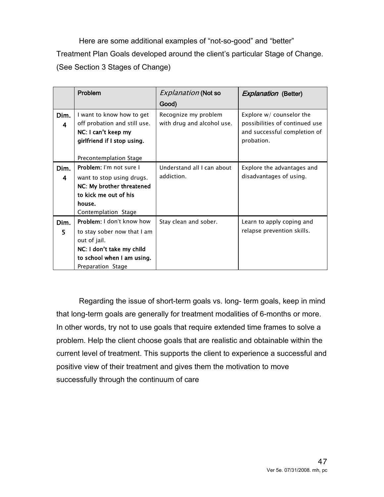Here are some additional examples of "not-so-good" and "better" Treatment Plan Goals developed around the client's particular Stage of Change. (See Section 3 Stages of Change)

|           | Problem                                                                                                                                                  | <b>Explanation (Not so</b>                         | <b>Explanation (Better)</b>                                                                                |
|-----------|----------------------------------------------------------------------------------------------------------------------------------------------------------|----------------------------------------------------|------------------------------------------------------------------------------------------------------------|
|           |                                                                                                                                                          | Good)                                              |                                                                                                            |
| Dim.<br>4 | I want to know how to get<br>off probation and still use.<br>NC: I can't keep my<br>girlfriend if I stop using.<br>Precontemplation Stage                | Recognize my problem<br>with drug and alcohol use. | Explore $w/$ counselor the<br>possibilities of continued use<br>and successful completion of<br>probation. |
| Dim.<br>4 | Problem: I'm not sure I<br>want to stop using drugs.<br>NC: My brother threatened<br>to kick me out of his<br>house.<br>Contemplation Stage              | Understand all I can about<br>addiction.           | Explore the advantages and<br>disadvantages of using.                                                      |
| Dim.<br>5 | Problem: I don't know how<br>to stay sober now that I am<br>out of jail.<br>NC: I don't take my child<br>to school when I am using.<br>Preparation Stage | Stay clean and sober.                              | Learn to apply coping and<br>relapse prevention skills.                                                    |

Regarding the issue of short-term goals vs. long- term goals, keep in mind that long-term goals are generally for treatment modalities of 6-months or more. In other words, try not to use goals that require extended time frames to solve a problem. Help the client choose goals that are realistic and obtainable within the current level of treatment. This supports the client to experience a successful and positive view of their treatment and gives them the motivation to move successfully through the continuum of care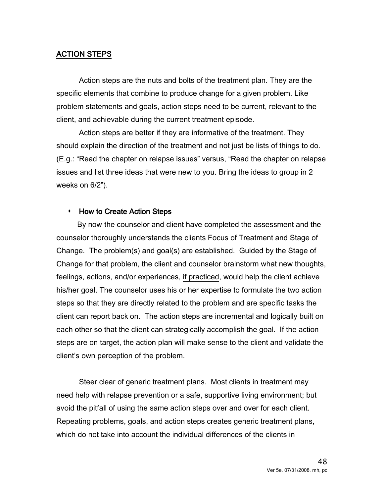#### ACTION STEPS

Action steps are the nuts and bolts of the treatment plan. They are the specific elements that combine to produce change for a given problem. Like problem statements and goals, action steps need to be current, relevant to the client, and achievable during the current treatment episode.

Action steps are better if they are informative of the treatment. They should explain the direction of the treatment and not just be lists of things to do. (E.g.: "Read the chapter on relapse issues" versus, "Read the chapter on relapse issues and list three ideas that were new to you. Bring the ideas to group in 2 weeks on 6/2").

#### • How to Create Action Steps

 By now the counselor and client have completed the assessment and the counselor thoroughly understands the clients Focus of Treatment and Stage of Change. The problem(s) and goal(s) are established. Guided by the Stage of Change for that problem, the client and counselor brainstorm what new thoughts, feelings, actions, and/or experiences, if practiced, would help the client achieve his/her goal. The counselor uses his or her expertise to formulate the two action steps so that they are directly related to the problem and are specific tasks the client can report back on. The action steps are incremental and logically built on each other so that the client can strategically accomplish the goal. If the action steps are on target, the action plan will make sense to the client and validate the client's own perception of the problem.

Steer clear of generic treatment plans. Most clients in treatment may need help with relapse prevention or a safe, supportive living environment; but avoid the pitfall of using the same action steps over and over for each client. Repeating problems, goals, and action steps creates generic treatment plans, which do not take into account the individual differences of the clients in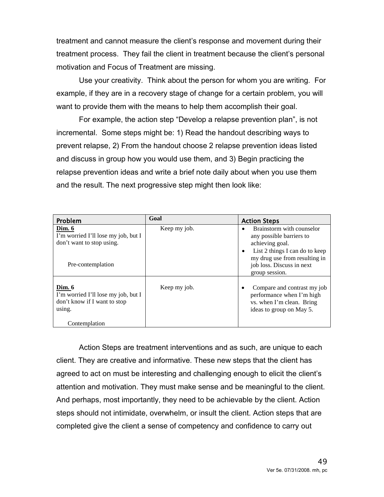treatment and cannot measure the client's response and movement during their treatment process. They fail the client in treatment because the client's personal motivation and Focus of Treatment are missing.

Use your creativity. Think about the person for whom you are writing. For example, if they are in a recovery stage of change for a certain problem, you will want to provide them with the means to help them accomplish their goal.

For example, the action step "Develop a relapse prevention plan", is not incremental. Some steps might be: 1) Read the handout describing ways to prevent relapse, 2) From the handout choose 2 relapse prevention ideas listed and discuss in group how you would use them, and 3) Begin practicing the relapse prevention ideas and write a brief note daily about when you use them and the result. The next progressive step might then look like:

| Problem                                                                                                  | Goal         | <b>Action Steps</b>                                                                                                                                                                        |
|----------------------------------------------------------------------------------------------------------|--------------|--------------------------------------------------------------------------------------------------------------------------------------------------------------------------------------------|
| Dim. 6<br>I'm worried I'll lose my job, but I<br>don't want to stop using.<br>Pre-contemplation          | Keep my job. | Brainstorm with counselor<br>any possible barriers to<br>achieving goal.<br>List 2 things I can do to keep<br>my drug use from resulting in<br>job loss. Discuss in next<br>group session. |
| Dim. 6<br>I'm worried I'll lose my job, but I<br>don't know if I want to stop<br>using.<br>Contemplation | Keep my job. | Compare and contrast my job<br>performance when I'm high<br>vs. when I'm clean. Bring<br>ideas to group on May 5.                                                                          |

Action Steps are treatment interventions and as such, are unique to each client. They are creative and informative. These new steps that the client has agreed to act on must be interesting and challenging enough to elicit the client's attention and motivation. They must make sense and be meaningful to the client. And perhaps, most importantly, they need to be achievable by the client. Action steps should not intimidate, overwhelm, or insult the client. Action steps that are completed give the client a sense of competency and confidence to carry out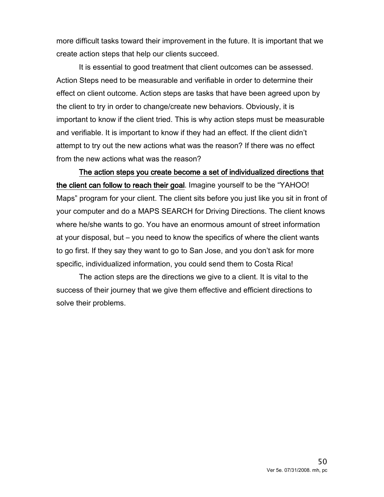more difficult tasks toward their improvement in the future. It is important that we create action steps that help our clients succeed.

It is essential to good treatment that client outcomes can be assessed. Action Steps need to be measurable and verifiable in order to determine their effect on client outcome. Action steps are tasks that have been agreed upon by the client to try in order to change/create new behaviors. Obviously, it is important to know if the client tried. This is why action steps must be measurable and verifiable. It is important to know if they had an effect. If the client didn't attempt to try out the new actions what was the reason? If there was no effect from the new actions what was the reason?

The action steps you create become a set of individualized directions that the client can follow to reach their goal. Imagine yourself to be the "YAHOO! Maps" program for your client. The client sits before you just like you sit in front of your computer and do a MAPS SEARCH for Driving Directions. The client knows where he/she wants to go. You have an enormous amount of street information at your disposal, but – you need to know the specifics of where the client wants to go first. If they say they want to go to San Jose, and you don't ask for more specific, individualized information, you could send them to Costa Rica!

The action steps are the directions we give to a client. It is vital to the success of their journey that we give them effective and efficient directions to solve their problems.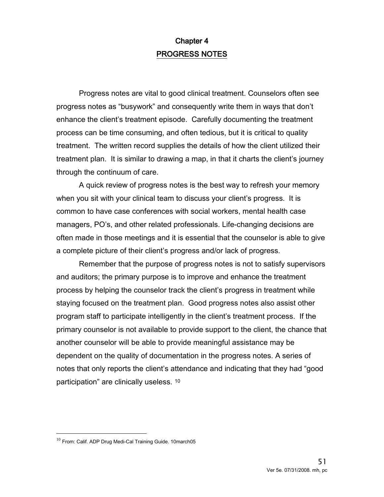# Chapter 4 PROGRESS NOTES

Progress notes are vital to good clinical treatment. Counselors often see progress notes as "busywork" and consequently write them in ways that don't enhance the client's treatment episode. Carefully documenting the treatment process can be time consuming, and often tedious, but it is critical to quality treatment. The written record supplies the details of how the client utilized their treatment plan. It is similar to drawing a map, in that it charts the client's journey through the continuum of care.

A quick review of progress notes is the best way to refresh your memory when you sit with your clinical team to discuss your client's progress. It is common to have case conferences with social workers, mental health case managers, PO's, and other related professionals. Life-changing decisions are often made in those meetings and it is essential that the counselor is able to give a complete picture of their client's progress and/or lack of progress.

Remember that the purpose of progress notes is not to satisfy supervisors and auditors; the primary purpose is to improve and enhance the treatment process by helping the counselor track the client's progress in treatment while staying focused on the treatment plan. Good progress notes also assist other program staff to participate intelligently in the client's treatment process. If the primary counselor is not available to provide support to the client, the chance that another counselor will be able to provide meaningful assistance may be dependent on the quality of documentation in the progress notes. A series of notes that only reports the client's attendance and indicating that they had "good participation" are clinically useless. [10](#page-50-0)

 $\overline{a}$ 

<span id="page-50-0"></span> $^{10}$  From: Calif. ADP Drug Medi-Cal Training Guide. 10march05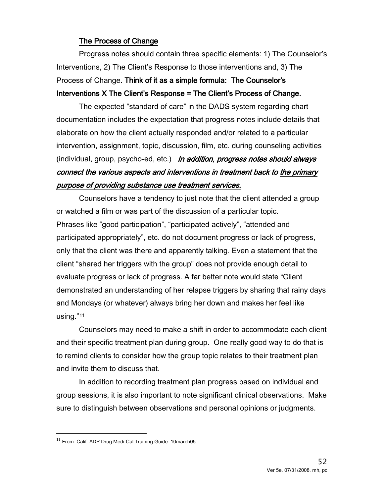## The Process of Change

Progress notes should contain three specific elements: 1) The Counselor's Interventions, 2) The Client's Response to those interventions and, 3) The Process of Change. Think of it as a simple formula: The Counselor's Interventions X The Client's Response = The Client's Process of Change.

The expected "standard of care" in the DADS system regarding chart documentation includes the expectation that progress notes include details that elaborate on how the client actually responded and/or related to a particular intervention, assignment, topic, discussion, film, etc. during counseling activities (individual, group, psycho-ed, etc.) In addition, progress notes should always connect the various aspects and interventions in treatment back to the primary purpose of providing substance use treatment services.

Counselors have a tendency to just note that the client attended a group or watched a film or was part of the discussion of a particular topic. Phrases like "good participation", "participated actively", "attended and participated appropriately", etc. do not document progress or lack of progress, only that the client was there and apparently talking. Even a statement that the client "shared her triggers with the group" does not provide enough detail to evaluate progress or lack of progress. A far better note would state "Client demonstrated an understanding of her relapse triggers by sharing that rainy days and Mondays (or whatever) always bring her down and makes her feel like using.["11](#page-51-0)

Counselors may need to make a shift in order to accommodate each client and their specific treatment plan during group. One really good way to do that is to remind clients to consider how the group topic relates to their treatment plan and invite them to discuss that.

In addition to recording treatment plan progress based on individual and group sessions, it is also important to note significant clinical observations. Make sure to distinguish between observations and personal opinions or judgments.

 $\overline{a}$ 

<span id="page-51-0"></span> $^{11}$  From: Calif. ADP Drug Medi-Cal Training Guide. 10march05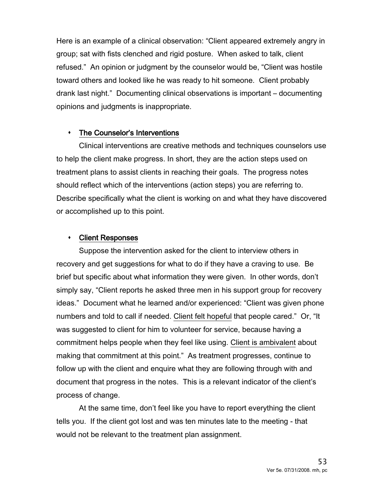Here is an example of a clinical observation: "Client appeared extremely angry in group; sat with fists clenched and rigid posture. When asked to talk, client refused." An opinion or judgment by the counselor would be, "Client was hostile toward others and looked like he was ready to hit someone. Client probably drank last night." Documenting clinical observations is important – documenting opinions and judgments is inappropriate.

#### The Counselor's Interventions

Clinical interventions are creative methods and techniques counselors use to help the client make progress. In short, they are the action steps used on treatment plans to assist clients in reaching their goals. The progress notes should reflect which of the interventions (action steps) you are referring to. Describe specifically what the client is working on and what they have discovered or accomplished up to this point.

#### Client Responses

Suppose the intervention asked for the client to interview others in recovery and get suggestions for what to do if they have a craving to use. Be brief but specific about what information they were given. In other words, don't simply say, "Client reports he asked three men in his support group for recovery ideas." Document what he learned and/or experienced: "Client was given phone numbers and told to call if needed. Client felt hopeful that people cared." Or, "It was suggested to client for him to volunteer for service, because having a commitment helps people when they feel like using. Client is ambivalent about making that commitment at this point." As treatment progresses, continue to follow up with the client and enquire what they are following through with and document that progress in the notes. This is a relevant indicator of the client's process of change.

At the same time, don't feel like you have to report everything the client tells you. If the client got lost and was ten minutes late to the meeting - that would not be relevant to the treatment plan assignment.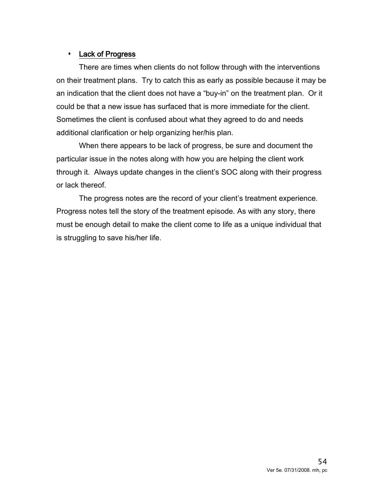## Lack of Progress

There are times when clients do not follow through with the interventions on their treatment plans. Try to catch this as early as possible because it may be an indication that the client does not have a "buy-in" on the treatment plan. Or it could be that a new issue has surfaced that is more immediate for the client. Sometimes the client is confused about what they agreed to do and needs additional clarification or help organizing her/his plan.

When there appears to be lack of progress, be sure and document the particular issue in the notes along with how you are helping the client work through it. Always update changes in the client's SOC along with their progress or lack thereof.

The progress notes are the record of your client's treatment experience. Progress notes tell the story of the treatment episode. As with any story, there must be enough detail to make the client come to life as a unique individual that is struggling to save his/her life.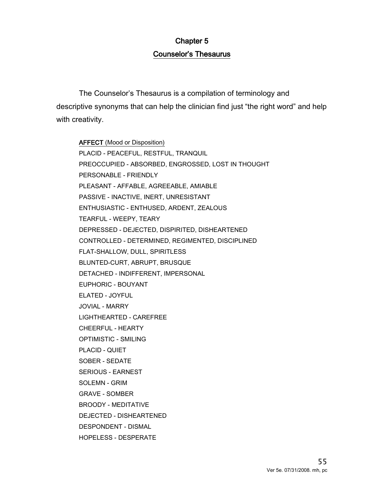# Chapter 5 Counselor's Thesaurus

The Counselor's Thesaurus is a compilation of terminology and descriptive synonyms that can help the clinician find just "the right word" and help with creativity.

AFFECT (Mood or Disposition) PLACID - PEACEFUL, RESTFUL, TRANQUIL PREOCCUPIED - ABSORBED, ENGROSSED, LOST IN THOUGHT PERSONABLE - FRIENDLY PLEASANT - AFFABLE, AGREEABLE, AMIABLE PASSIVE - INACTIVE, INERT, UNRESISTANT ENTHUSIASTIC - ENTHUSED, ARDENT, ZEALOUS TEARFUL - WEEPY, TEARY DEPRESSED - DEJECTED, DISPIRITED, DISHEARTENED CONTROLLED - DETERMINED, REGIMENTED, DISCIPLINED FLAT-SHALLOW, DULL, SPIRITLESS BLUNTED-CURT, ABRUPT, BRUSQUE DETACHED - INDIFFERENT, IMPERSONAL EUPHORIC - BOUYANT ELATED - JOYFUL JOVIAL - MARRY LIGHTHEARTED - CAREFREE CHEERFUL - HEARTY OPTIMISTIC - SMILING PLACID - QUIET SOBER - SEDATE SERIOUS - EARNEST SOLEMN - GRIM GRAVE - SOMBER BROODY - MEDITATIVE DEJECTED - DISHEARTENED DESPONDENT - DISMAL HOPELESS - DESPERATE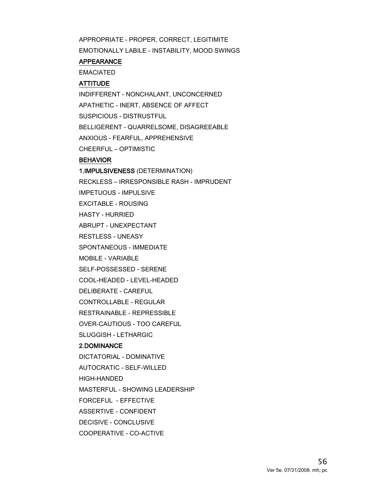APPROPRIATE - PROPER, CORRECT, LEGITIMITE EMOTIONALLY LABILE - INSTABILITY, MOOD SWINGS

#### APPEARANCE

EMACIATED

#### **ATTITUDE**

INDIFFERENT - NONCHALANT, UNCONCERNED APATHETIC - INERT, ABSENCE OF AFFECT SUSPICIOUS - DISTRUSTFUL BELLIGERENT - QUARRELSOME, DISAGREEABLE ANXIOUS - FEARFUL, APPREHENSIVE CHEERFUL – OPTIMISTIC

#### BEHAVIOR

1.IMPULSIVENESS (DETERMINATION) RECKLESS – IRRESPONSIBLE RASH - IMPRUDENT IMPETUOUS - IMPULSIVE EXCITABLE - ROUSING HASTY - HURRIED ABRUPT - UNEXPECTANT RESTLESS - UNEASY SPONTANEOUS - IMMEDIATE MOBILE - VARIABLE SELF-POSSESSED - SERENE COOL-HEADED - LEVEL-HEADED DELIBERATE - CAREFUL CONTROLLABLE - REGULAR RESTRAINABLE - REPRESSIBLE OVER-CAUTIOUS - TOO CAREFUL SLUGGISH - LETHARGIC 2.DOMINANCE DICTATORIAL - DOMINATIVE AUTOCRATIC - SELF-WILLED HIGH-HANDED MASTERFUL - SHOWING LEADERSHIP FORCEFUL - EFFECTIVE ASSERTIVE - CONFIDENT DECISIVE - CONCLUSIVE COOPERATIVE - CO-ACTIVE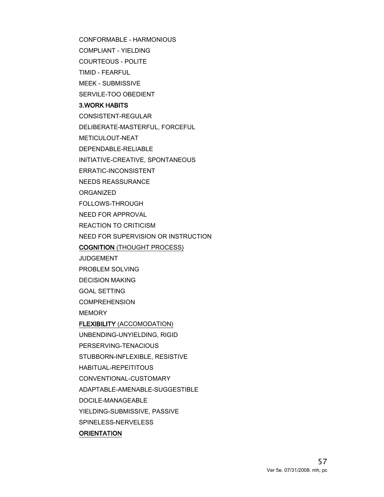CONFORMABLE - HARMONIOUS COMPLIANT - YIELDING

COURTEOUS - POLITE

TIMID - FEARFUL

MEEK - SUBMISSIVE

SERVILE-TOO OBEDIENT

#### 3.WORK HABITS

CONSISTENT-REGULAR DELIBERATE-MASTERFUL, FORCEFUL METICULOUT-NEAT DEPENDABLE-RELIABLE INITIATIVE-CREATIVE, SPONTANEOUS ERRATIC-INCONSISTENT NEEDS REASSURANCE ORGANIZED

FOLLOWS-THROUGH

NEED FOR APPROVAL

REACTION TO CRITICISM

NEED FOR SUPERVISION OR INSTRUCTION

COGNITION (THOUGHT PROCESS)

JUDGEMENT

PROBLEM SOLVING

DECISION MAKING

GOAL SETTING

**COMPREHENSION** 

**MEMORY** 

FLEXIBILITY (ACCOMODATION)

UNBENDING-UNYIELDING, RIGID

PERSERVING-TENACIOUS

STUBBORN-INFLEXIBLE, RESISTIVE

HABITUAL-REPEITITOUS

CONVENTIONAL-CUSTOMARY

ADAPTABLE-AMENABLE-SUGGESTIBLE

DOCILE-MANAGEABLE

YIELDING-SUBMISSIVE, PASSIVE

SPINELESS-NERVELESS

#### **ORIENTATION**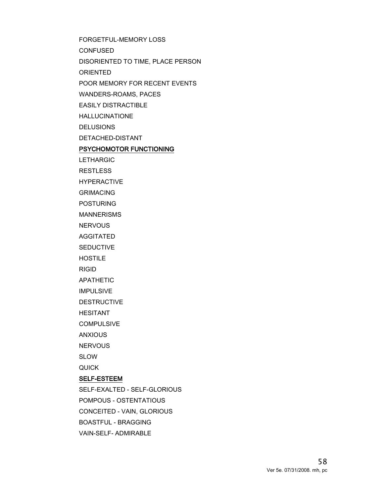FORGETFUL-MEMORY LOSS CONFUSED DISORIENTED TO TIME, PLACE PERSON ORIENTED POOR MEMORY FOR RECENT EVENTS WANDERS-ROAMS, PACES EASILY DISTRACTIBLE HALLUCINATIONE DELUSIONS DETACHED-DISTANT PSYCHOMOTOR FUNCTIONING LETHARGIC RESTLESS HYPERACTIVE GRIMACING POSTURING MANNERISMS **NERVOUS** AGGITATED **SEDUCTIVE HOSTILE** RIGID APATHETIC IMPULSIVE DESTRUCTIVE HESITANT **COMPULSIVE** ANXIOUS **NERVOUS** SLOW QUICK SELF-ESTEEM SELF-EXALTED - SELF-GLORIOUS POMPOUS - OSTENTATIOUS CONCEITED - VAIN, GLORIOUS BOASTFUL - BRAGGING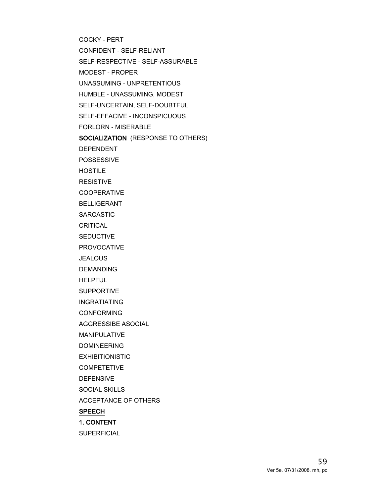COCKY - PERT CONFIDENT - SELF-RELIANT SELF-RESPECTIVE - SELF-ASSURABLE MODEST - PROPER UNASSUMING - UNPRETENTIOUS HUMBLE - UNASSUMING, MODEST SELF-UNCERTAIN, SELF-DOUBTFUL SELF-EFFACIVE - INCONSPICUOUS FORLORN - MISERABLE SOCIALIZATION (RESPONSE TO OTHERS) DEPENDENT POSSESSIVE HOSTILE RESISTIVE **COOPERATIVE** BELLIGERANT SARCASTIC CRITICAL **SEDUCTIVE** PROVOCATIVE **JEALOUS** DEMANDING HELPFUL SUPPORTIVE INGRATIATING CONFORMING AGGRESSIBE ASOCIAL MANIPULATIVE DOMINEERING EXHIBITIONISTIC **COMPETETIVE** DEFENSIVE SOCIAL SKILLS ACCEPTANCE OF OTHERS SPEECH 1. CONTENT

**SUPERFICIAL**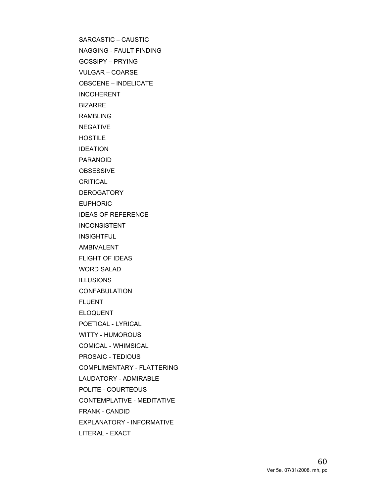SARCASTIC – CAUSTIC NAGGING - FAULT FINDING

GOSSIPY – PRYING VULGAR – COARSE

OBSCENE – INDELICATE

**INCOHERENT** 

BIZARRE

RAMBLING

NEGATIVE

HOSTILE

IDEATION

PARANOID

**OBSESSIVE** 

CRITICAL

DEROGATORY

EUPHORIC

IDEAS OF REFERENCE

INCONSISTENT

INSIGHTFUL

AMBIVALENT

FLIGHT OF IDEAS

WORD SALAD

ILLUSIONS

CONFABULATION

FLUENT

ELOQUENT

POETICAL - LYRICAL

WITTY - HUMOROUS

COMICAL - WHIMSICAL

PROSAIC - TEDIOUS

COMPLIMENTARY - FLATTERING

LAUDATORY - ADMIRABLE

POLITE - COURTEOUS

CONTEMPLATIVE - MEDITATIVE

FRANK - CANDID

EXPLANATORY - INFORMATIVE

LITERAL - EXACT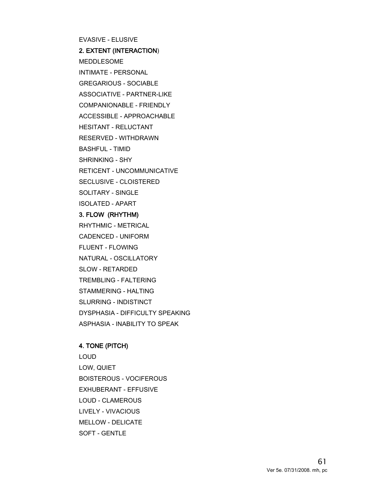EVASIVE - ELUSIVE 2. EXTENT (INTERACTION) MEDDLESOME INTIMATE - PERSONAL GREGARIOUS - SOCIABLE ASSOCIATIVE - PARTNER-LIKE COMPANIONABLE - FRIENDLY ACCESSIBLE - APPROACHABLE HESITANT - RELUCTANT RESERVED - WITHDRAWN BASHFUL - TIMID SHRINKING - SHY RETICENT - UNCOMMUNICATIVE SECLUSIVE - CLOISTERED SOLITARY - SINGLE ISOLATED - APART 3. FLOW (RHYTHM) RHYTHMIC - METRICAL CADENCED - UNIFORM FLUENT - FLOWING NATURAL - OSCILLATORY SLOW - RETARDED TREMBLING - FALTERING STAMMERING - HALTING SLURRING - INDISTINCT DYSPHASIA - DIFFICULTY SPEAKING ASPHASIA - INABILITY TO SPEAK

#### 4. TONE (PITCH)

LOUD LOW, QUIET BOISTEROUS - VOCIFEROUS EXHUBERANT - EFFUSIVE LOUD - CLAMEROUS LIVELY - VIVACIOUS MELLOW - DELICATE SOFT - GENTLE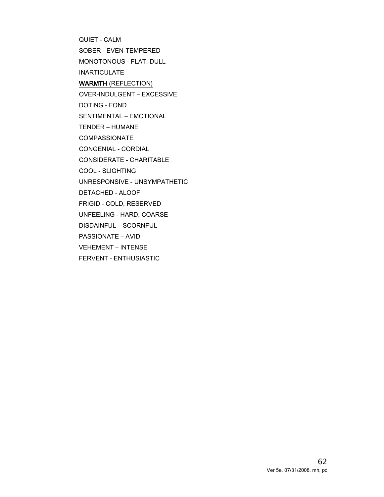QUIET - CALM SOBER - EVEN-TEMPERED MONOTONOUS - FLAT, DULL INARTICULATE WARMTH (REFLECTION) OVER-INDULGENT – EXCESSIVE DOTING - FOND SENTIMENTAL – EMOTIONAL TENDER – HUMANE COMPASSIONATE CONGENIAL - CORDIAL CONSIDERATE - CHARITABLE COOL - SLIGHTING UNRESPONSIVE - UNSYMPATHETIC DETACHED - ALOOF FRIGID - COLD, RESERVED UNFEELING - HARD, COARSE DISDAINFUL – SCORNFUL PASSIONATE – AVID VEHEMENT – INTENSE FERVENT - ENTHUSIASTIC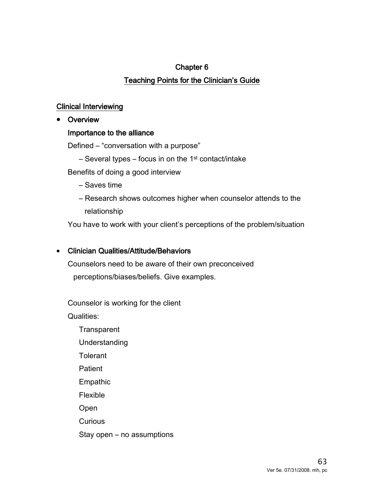# Chapter 6 Teaching Points for the Clinician's Guide

## Clinical Interviewing

• Overview

## Importance to the alliance

Defined – "conversation with a purpose"

 $-$  Several types – focus in on the 1<sup>st</sup> contact/intake

Benefits of doing a good interview

- Saves time
- Research shows outcomes higher when counselor attends to the relationship

You have to work with your client's perceptions of the problem/situation

## • Clinician Qualities/Attitude/Behaviors

Counselors need to be aware of their own preconceived perceptions/biases/beliefs. Give examples.

Counselor is working for the client

Qualities:

- **Transparent** Understanding
- **Tolerant**
- Patient
- Empathic
- Flexible
- Open
- **Curious**
- Stay open no assumptions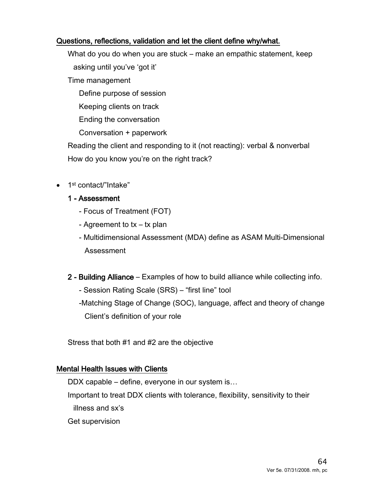## Questions, reflections, validation and let the client define why/what.

What do you do when you are stuck – make an empathic statement, keep asking until you've 'got it'

Time management

Define purpose of session

Keeping clients on track

Ending the conversation

Conversation + paperwork

Reading the client and responding to it (not reacting): verbal & nonverbal How do you know you're on the right track?

• 1<sup>st</sup> contact/"Intake"

## 1 - Assessment

- Focus of Treatment (FOT)
- Agreement to tx tx plan
- Multidimensional Assessment (MDA) define as ASAM Multi-Dimensional Assessment
- 2 Building Alliance Examples of how to build alliance while collecting info.
	- Session Rating Scale (SRS) "first line" tool

-Matching Stage of Change (SOC), language, affect and theory of change Client's definition of your role

Stress that both #1 and #2 are the objective

## Mental Health Issues with Clients

DDX capable – define, everyone in our system is…

Important to treat DDX clients with tolerance, flexibility, sensitivity to their illness and sx's

Get supervision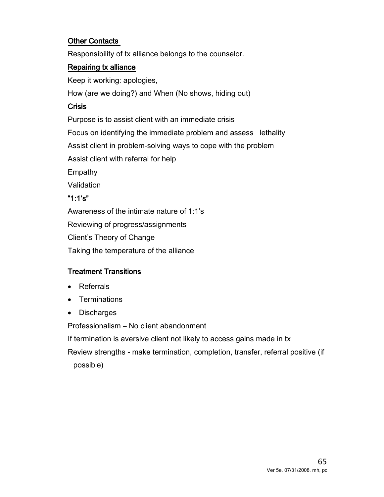## Other Contacts

Responsibility of tx alliance belongs to the counselor.

## Repairing tx alliance

Keep it working: apologies,

How (are we doing?) and When (No shows, hiding out)

## Crisis

Purpose is to assist client with an immediate crisis Focus on identifying the immediate problem and assess lethality Assist client in problem-solving ways to cope with the problem Assist client with referral for help **Empathy** 

Validation

## "1:1's"

Awareness of the intimate nature of 1:1's Reviewing of progress/assignments Client's Theory of Change Taking the temperature of the alliance

# Treatment Transitions

- Referrals
- Terminations
- Discharges

Professionalism – No client abandonment

If termination is aversive client not likely to access gains made in tx

Review strengths - make termination, completion, transfer, referral positive (if possible)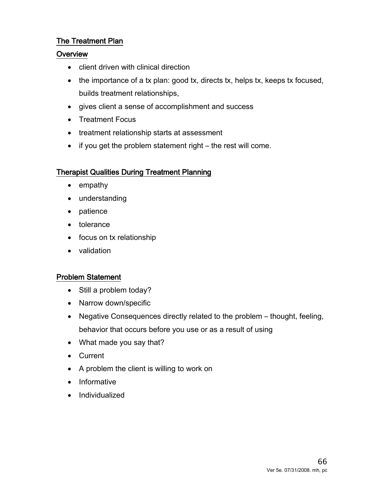## The Treatment Plan

## **Overview**

- client driven with clinical direction
- the importance of a tx plan: good tx, directs tx, helps tx, keeps tx focused, builds treatment relationships,
- gives client a sense of accomplishment and success
- Treatment Focus
- treatment relationship starts at assessment
- if you get the problem statement right the rest will come.

## Therapist Qualities During Treatment Planning

- empathy
- understanding
- patience
- tolerance
- focus on tx relationship
- validation

## Problem Statement

- Still a problem today?
- Narrow down/specific
- Negative Consequences directly related to the problem thought, feeling, behavior that occurs before you use or as a result of using
- What made you say that?
- Current
- A problem the client is willing to work on
- Informative
- Individualized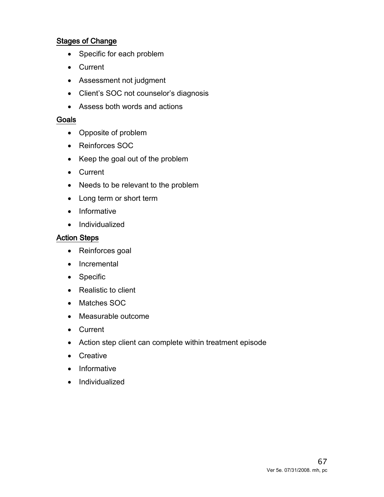## Stages of Change

- Specific for each problem
- Current
- Assessment not judgment
- Client's SOC not counselor's diagnosis
- Assess both words and actions

#### Goals

- Opposite of problem
- Reinforces SOC
- Keep the goal out of the problem
- Current
- Needs to be relevant to the problem
- Long term or short term
- Informative
- Individualized

#### Action Steps

- Reinforces goal
- Incremental
- Specific
- Realistic to client
- Matches SOC
- Measurable outcome
- Current
- Action step client can complete within treatment episode
- Creative
- Informative
- Individualized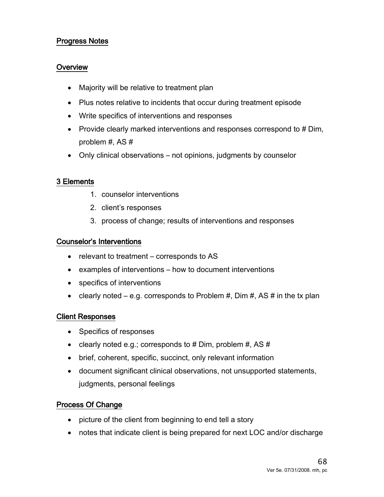## Progress Notes

#### **Overview**

- Majority will be relative to treatment plan
- Plus notes relative to incidents that occur during treatment episode
- Write specifics of interventions and responses
- Provide clearly marked interventions and responses correspond to # Dim, problem #, AS #
- Only clinical observations not opinions, judgments by counselor

#### 3 Elements

- 1. counselor interventions
- 2. client's responses
- 3. process of change; results of interventions and responses

#### Counselor's Interventions

- relevant to treatment corresponds to AS
- examples of interventions how to document interventions
- specifics of interventions
- clearly noted e.g. corresponds to Problem  $#$ , Dim  $#$ , AS  $#$  in the tx plan

#### Client Responses

- Specifics of responses
- clearly noted e.g.; corresponds to # Dim, problem #, AS  $#$
- brief, coherent, specific, succinct, only relevant information
- document significant clinical observations, not unsupported statements, judgments, personal feelings

#### Process Of Change

- picture of the client from beginning to end tell a story
- notes that indicate client is being prepared for next LOC and/or discharge